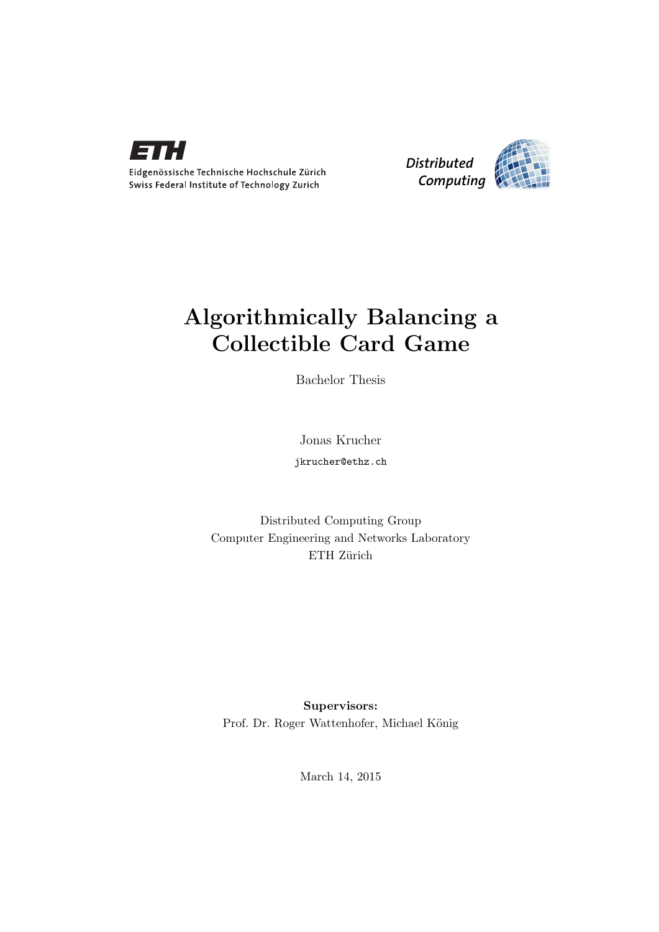



## Algorithmically Balancing a Collectible Card Game

Bachelor Thesis

Jonas Krucher jkrucher@ethz.ch

Distributed Computing Group Computer Engineering and Networks Laboratory ETH Zürich

Supervisors: Prof. Dr. Roger Wattenhofer, Michael König

March 14, 2015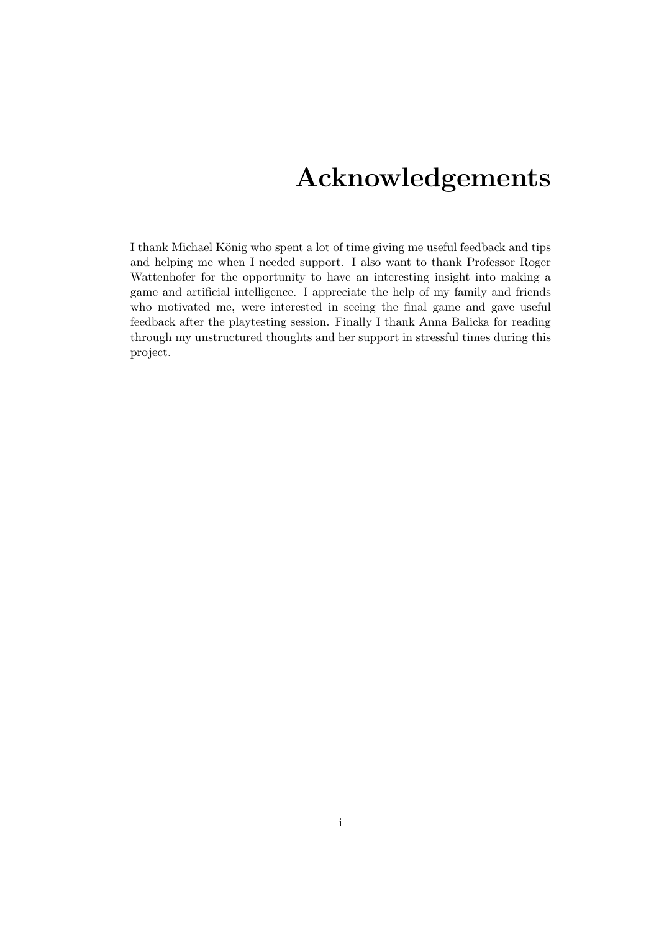## Acknowledgements

<span id="page-1-0"></span>I thank Michael König who spent a lot of time giving me useful feedback and tips and helping me when I needed support. I also want to thank Professor Roger Wattenhofer for the opportunity to have an interesting insight into making a game and artificial intelligence. I appreciate the help of my family and friends who motivated me, were interested in seeing the final game and gave useful feedback after the playtesting session. Finally I thank Anna Balicka for reading through my unstructured thoughts and her support in stressful times during this project.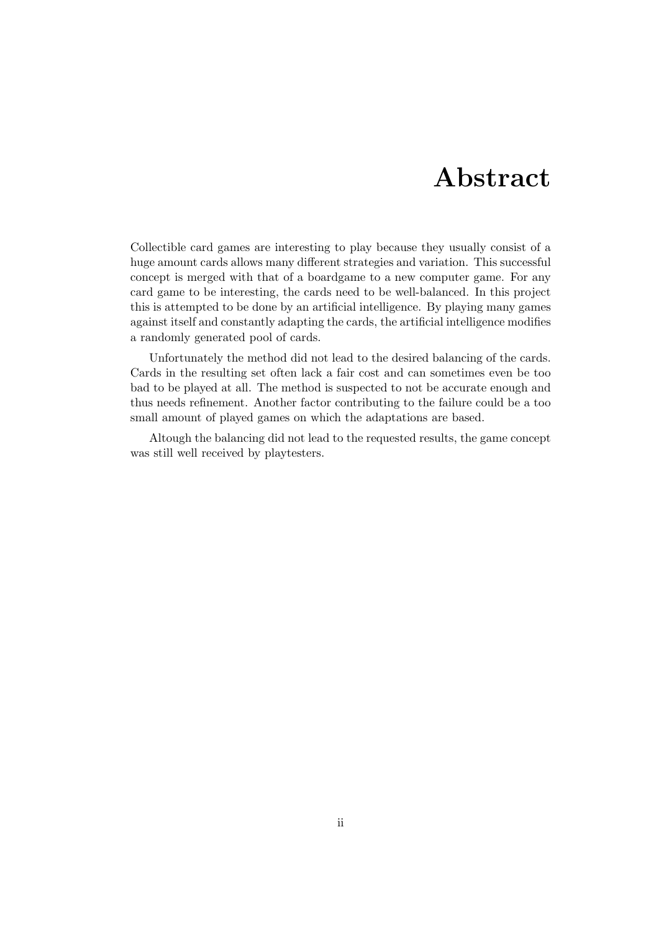## Abstract

<span id="page-2-0"></span>Collectible card games are interesting to play because they usually consist of a huge amount cards allows many different strategies and variation. This successful concept is merged with that of a boardgame to a new computer game. For any card game to be interesting, the cards need to be well-balanced. In this project this is attempted to be done by an artificial intelligence. By playing many games against itself and constantly adapting the cards, the artificial intelligence modifies a randomly generated pool of cards.

Unfortunately the method did not lead to the desired balancing of the cards. Cards in the resulting set often lack a fair cost and can sometimes even be too bad to be played at all. The method is suspected to not be accurate enough and thus needs refinement. Another factor contributing to the failure could be a too small amount of played games on which the adaptations are based.

Altough the balancing did not lead to the requested results, the game concept was still well received by playtesters.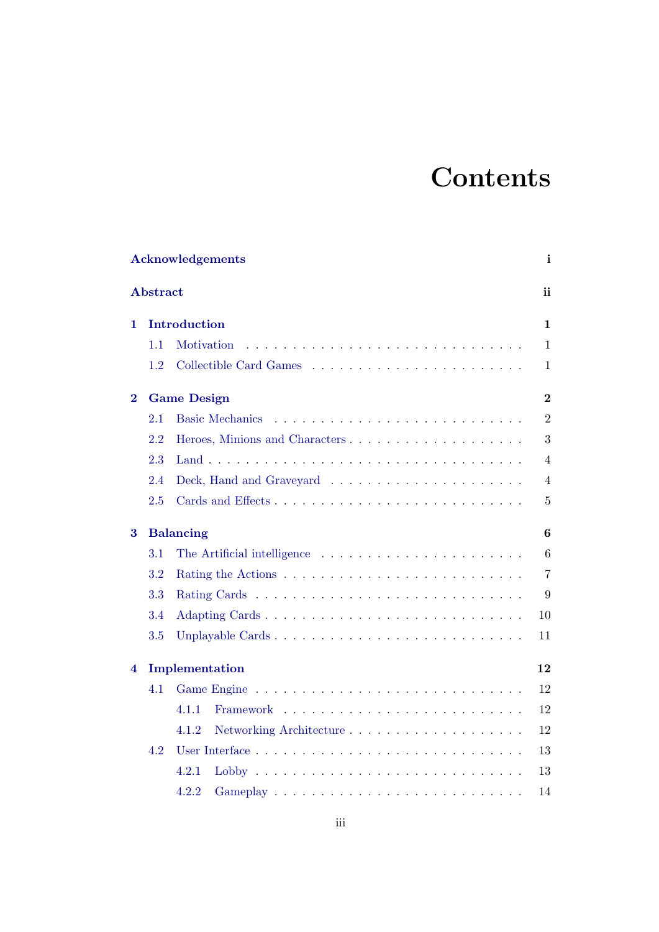## **Contents**

| <b>Acknowledgements</b><br>i |                                      |                                                                                |                |  |  |  |  |  |  |
|------------------------------|--------------------------------------|--------------------------------------------------------------------------------|----------------|--|--|--|--|--|--|
| Abstract                     |                                      |                                                                                |                |  |  |  |  |  |  |
| Introduction<br>1            |                                      |                                                                                |                |  |  |  |  |  |  |
|                              | 1.1                                  | Motivation                                                                     | $\mathbf{1}$   |  |  |  |  |  |  |
|                              | 1.2                                  |                                                                                | 1              |  |  |  |  |  |  |
| $\bf{2}$                     | $\overline{2}$<br><b>Game Design</b> |                                                                                |                |  |  |  |  |  |  |
|                              | 2.1                                  | <b>Basic Mechanics</b>                                                         | $\overline{2}$ |  |  |  |  |  |  |
|                              | 2.2                                  | Heroes, Minions and Characters                                                 | 3              |  |  |  |  |  |  |
|                              | 2.3                                  |                                                                                | $\overline{4}$ |  |  |  |  |  |  |
|                              | 2.4                                  |                                                                                | $\overline{4}$ |  |  |  |  |  |  |
|                              | 2.5                                  |                                                                                | $\overline{5}$ |  |  |  |  |  |  |
| 3                            |                                      | <b>Balancing</b><br>6                                                          |                |  |  |  |  |  |  |
|                              | 3.1                                  | The Artificial intelligence $\ldots \ldots \ldots \ldots \ldots \ldots \ldots$ | 6              |  |  |  |  |  |  |
|                              | 3.2                                  |                                                                                | $\overline{7}$ |  |  |  |  |  |  |
|                              | 3.3                                  |                                                                                | 9              |  |  |  |  |  |  |
|                              | 3.4                                  | Adapting Cards                                                                 | 10             |  |  |  |  |  |  |
|                              | 3.5                                  | Unplayable Cards                                                               | 11             |  |  |  |  |  |  |
| Implementation<br>4          |                                      |                                                                                |                |  |  |  |  |  |  |
|                              | 4.1                                  | Game Engine                                                                    | 12             |  |  |  |  |  |  |
|                              |                                      | 4.1.1                                                                          | 12             |  |  |  |  |  |  |
|                              |                                      | 4.1.2                                                                          | 12             |  |  |  |  |  |  |
|                              | 4.2                                  |                                                                                | 13             |  |  |  |  |  |  |
|                              |                                      | 4.2.1                                                                          | 13             |  |  |  |  |  |  |
|                              |                                      | 4.2.2                                                                          | 14             |  |  |  |  |  |  |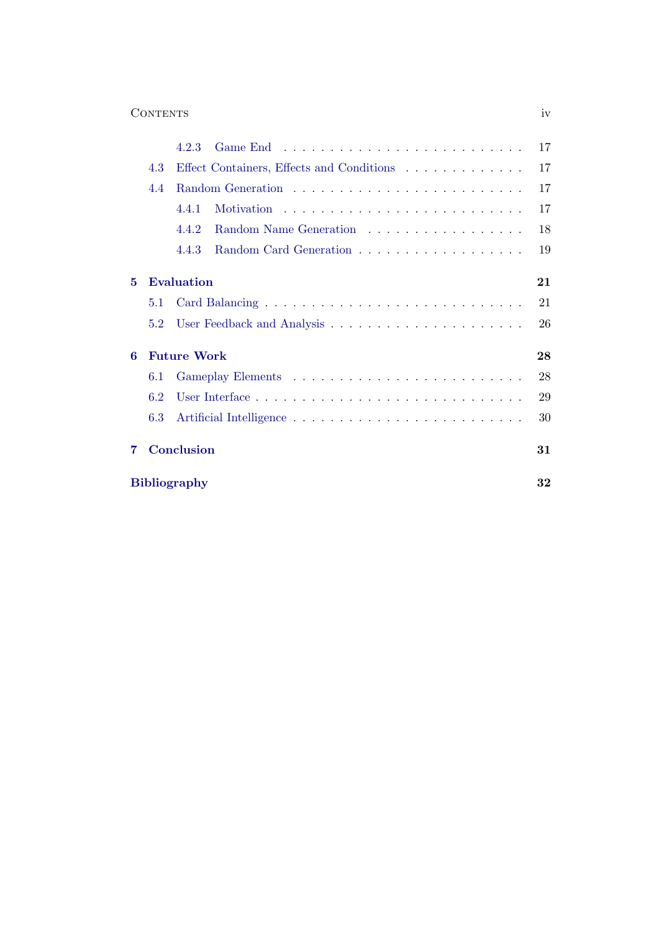### Contents iv

|   |                          | 4.2.3                                     | 17 |  |  |  |  |  |
|---|--------------------------|-------------------------------------------|----|--|--|--|--|--|
|   | 4.3                      | Effect Containers, Effects and Conditions | 17 |  |  |  |  |  |
|   | 4.4                      |                                           | 17 |  |  |  |  |  |
|   |                          | 4.4.1                                     | 17 |  |  |  |  |  |
|   |                          | Random Name Generation<br>4.4.2           | 18 |  |  |  |  |  |
|   |                          | 4.4.3                                     | 19 |  |  |  |  |  |
| 5 |                          | <b>Evaluation</b>                         | 21 |  |  |  |  |  |
|   | 5.1                      |                                           | 21 |  |  |  |  |  |
|   | 5.2                      |                                           | 26 |  |  |  |  |  |
| 6 | 28<br><b>Future Work</b> |                                           |    |  |  |  |  |  |
|   | 6.1                      |                                           | 28 |  |  |  |  |  |
|   | 6.2                      |                                           | 29 |  |  |  |  |  |
|   | 6.3                      |                                           | 30 |  |  |  |  |  |
| 7 |                          | Conclusion                                | 31 |  |  |  |  |  |
|   |                          | <b>Bibliography</b>                       | 32 |  |  |  |  |  |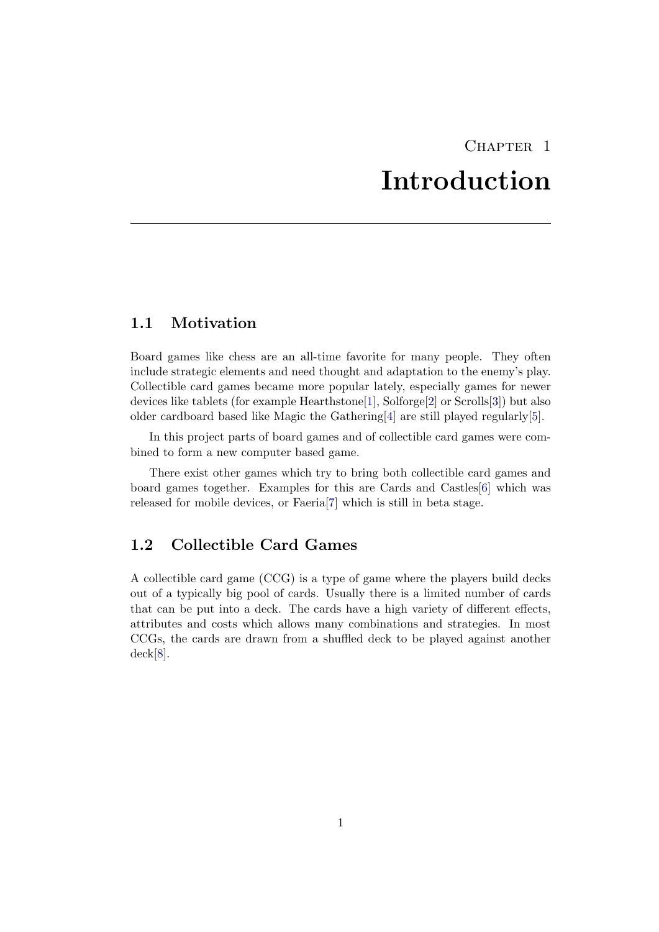## CHAPTER<sub>1</sub> Introduction

## <span id="page-5-1"></span><span id="page-5-0"></span>1.1 Motivation

Board games like chess are an all-time favorite for many people. They often include strategic elements and need thought and adaptation to the enemy's play. Collectible card games became more popular lately, especially games for newer devices like tablets (for example Hearthstone[\[1\]](#page-36-1), Solforge[\[2\]](#page-36-2) or Scrolls[\[3\]](#page-36-3)) but also older cardboard based like Magic the Gathering[\[4\]](#page-36-4) are still played regularly[\[5\]](#page-36-5).

In this project parts of board games and of collectible card games were combined to form a new computer based game.

There exist other games which try to bring both collectible card games and board games together. Examples for this are Cards and Castles[\[6\]](#page-36-6) which was released for mobile devices, or Faeria[\[7\]](#page-36-7) which is still in beta stage.

## <span id="page-5-2"></span>1.2 Collectible Card Games

A collectible card game (CCG) is a type of game where the players build decks out of a typically big pool of cards. Usually there is a limited number of cards that can be put into a deck. The cards have a high variety of different effects, attributes and costs which allows many combinations and strategies. In most CCGs, the cards are drawn from a shuffled deck to be played against another deck[\[8\]](#page-36-8).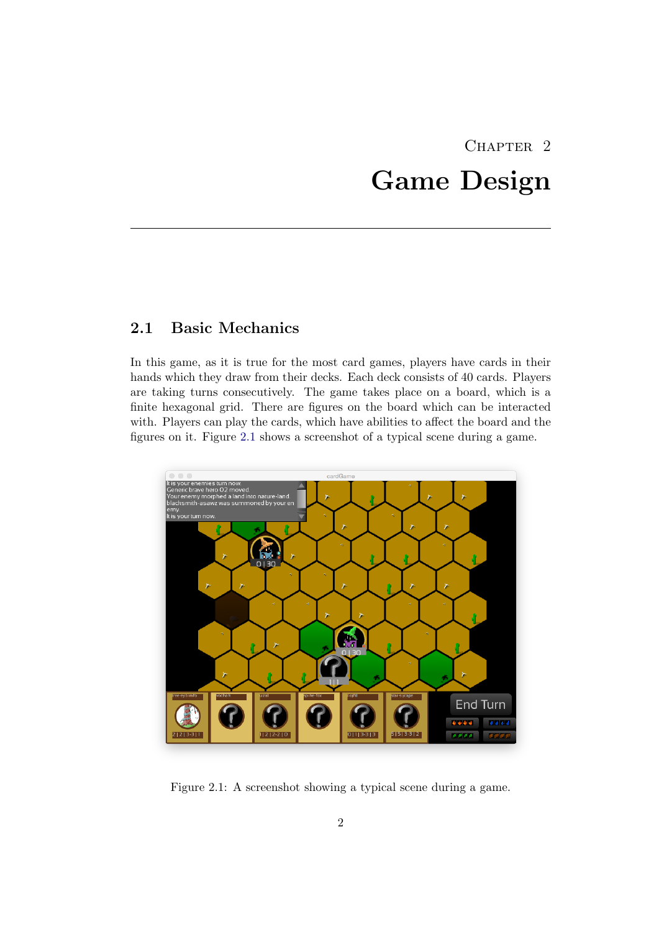# CHAPTER<sub>2</sub> Game Design

## <span id="page-6-1"></span><span id="page-6-0"></span>2.1 Basic Mechanics

In this game, as it is true for the most card games, players have cards in their hands which they draw from their decks. Each deck consists of 40 cards. Players are taking turns consecutively. The game takes place on a board, which is a finite hexagonal grid. There are figures on the board which can be interacted with. Players can play the cards, which have abilities to affect the board and the figures on it. Figure [2.1](#page-6-2) shows a screenshot of a typical scene during a game.



<span id="page-6-2"></span>Figure 2.1: A screenshot showing a typical scene during a game.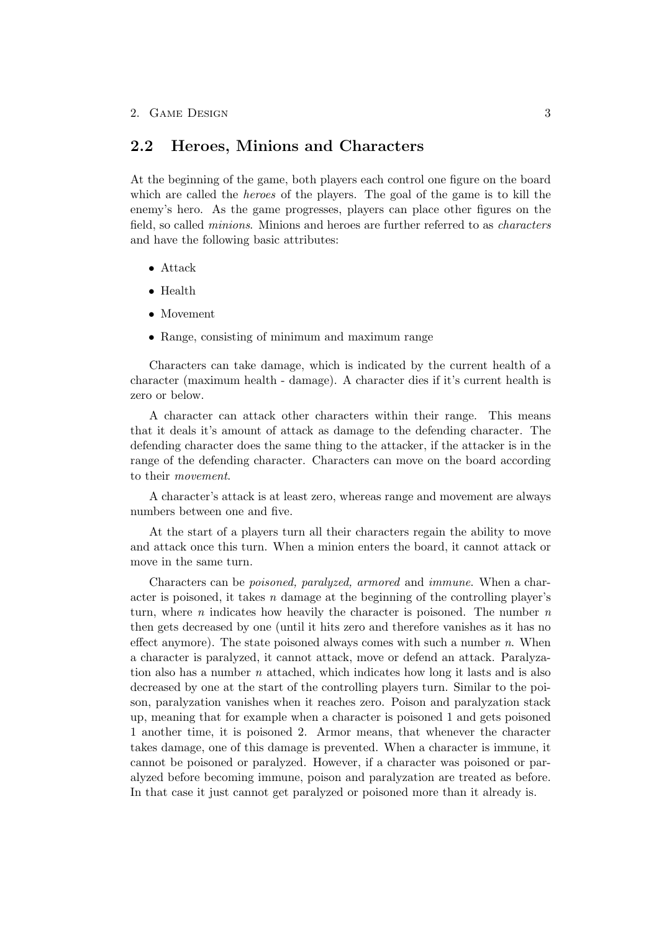## <span id="page-7-0"></span>2.2 Heroes, Minions and Characters

At the beginning of the game, both players each control one figure on the board which are called the *heroes* of the players. The goal of the game is to kill the enemy's hero. As the game progresses, players can place other figures on the field, so called minions. Minions and heroes are further referred to as characters and have the following basic attributes:

- Attack
- Health
- Movement
- Range, consisting of minimum and maximum range

Characters can take damage, which is indicated by the current health of a character (maximum health - damage). A character dies if it's current health is zero or below.

A character can attack other characters within their range. This means that it deals it's amount of attack as damage to the defending character. The defending character does the same thing to the attacker, if the attacker is in the range of the defending character. Characters can move on the board according to their movement.

A character's attack is at least zero, whereas range and movement are always numbers between one and five.

At the start of a players turn all their characters regain the ability to move and attack once this turn. When a minion enters the board, it cannot attack or move in the same turn.

Characters can be poisoned, paralyzed, armored and immune. When a character is poisoned, it takes  $n$  damage at the beginning of the controlling player's turn, where  $n$  indicates how heavily the character is poisoned. The number  $n$ then gets decreased by one (until it hits zero and therefore vanishes as it has no effect anymore). The state poisoned always comes with such a number  $n$ . When a character is paralyzed, it cannot attack, move or defend an attack. Paralyzation also has a number n attached, which indicates how long it lasts and is also decreased by one at the start of the controlling players turn. Similar to the poison, paralyzation vanishes when it reaches zero. Poison and paralyzation stack up, meaning that for example when a character is poisoned 1 and gets poisoned 1 another time, it is poisoned 2. Armor means, that whenever the character takes damage, one of this damage is prevented. When a character is immune, it cannot be poisoned or paralyzed. However, if a character was poisoned or paralyzed before becoming immune, poison and paralyzation are treated as before. In that case it just cannot get paralyzed or poisoned more than it already is.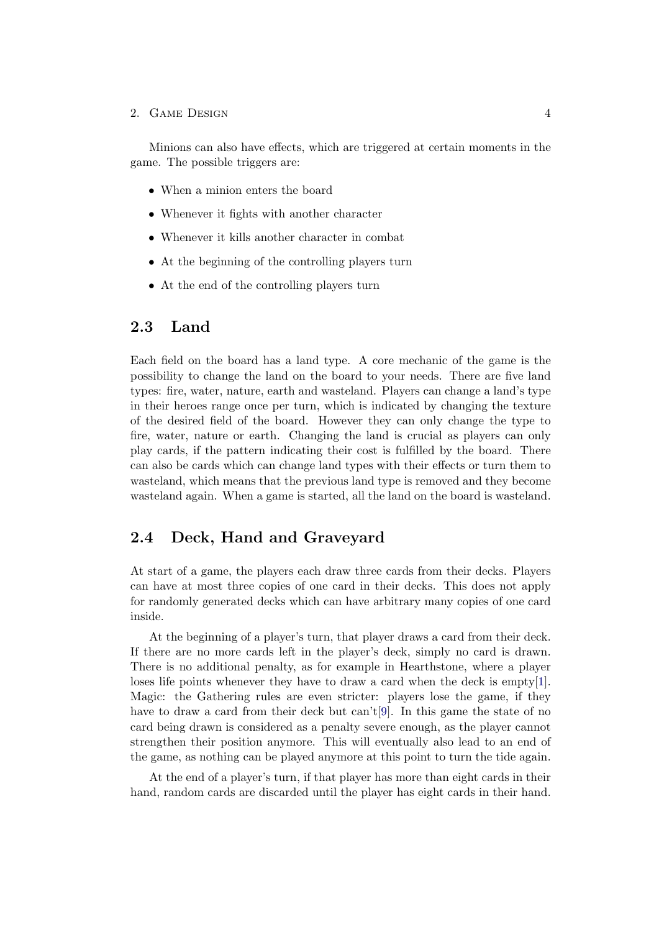#### 2. GAME DESIGN 4

Minions can also have effects, which are triggered at certain moments in the game. The possible triggers are:

- When a minion enters the board
- Whenever it fights with another character
- Whenever it kills another character in combat
- At the beginning of the controlling players turn
- At the end of the controlling players turn

### <span id="page-8-0"></span>2.3 Land

Each field on the board has a land type. A core mechanic of the game is the possibility to change the land on the board to your needs. There are five land types: fire, water, nature, earth and wasteland. Players can change a land's type in their heroes range once per turn, which is indicated by changing the texture of the desired field of the board. However they can only change the type to fire, water, nature or earth. Changing the land is crucial as players can only play cards, if the pattern indicating their cost is fulfilled by the board. There can also be cards which can change land types with their effects or turn them to wasteland, which means that the previous land type is removed and they become wasteland again. When a game is started, all the land on the board is wasteland.

## <span id="page-8-1"></span>2.4 Deck, Hand and Graveyard

At start of a game, the players each draw three cards from their decks. Players can have at most three copies of one card in their decks. This does not apply for randomly generated decks which can have arbitrary many copies of one card inside.

At the beginning of a player's turn, that player draws a card from their deck. If there are no more cards left in the player's deck, simply no card is drawn. There is no additional penalty, as for example in Hearthstone, where a player loses life points whenever they have to draw a card when the deck is empty[\[1\]](#page-36-1). Magic: the Gathering rules are even stricter: players lose the game, if they have to draw a card from their deck but can't[\[9\]](#page-36-9). In this game the state of no card being drawn is considered as a penalty severe enough, as the player cannot strengthen their position anymore. This will eventually also lead to an end of the game, as nothing can be played anymore at this point to turn the tide again.

At the end of a player's turn, if that player has more than eight cards in their hand, random cards are discarded until the player has eight cards in their hand.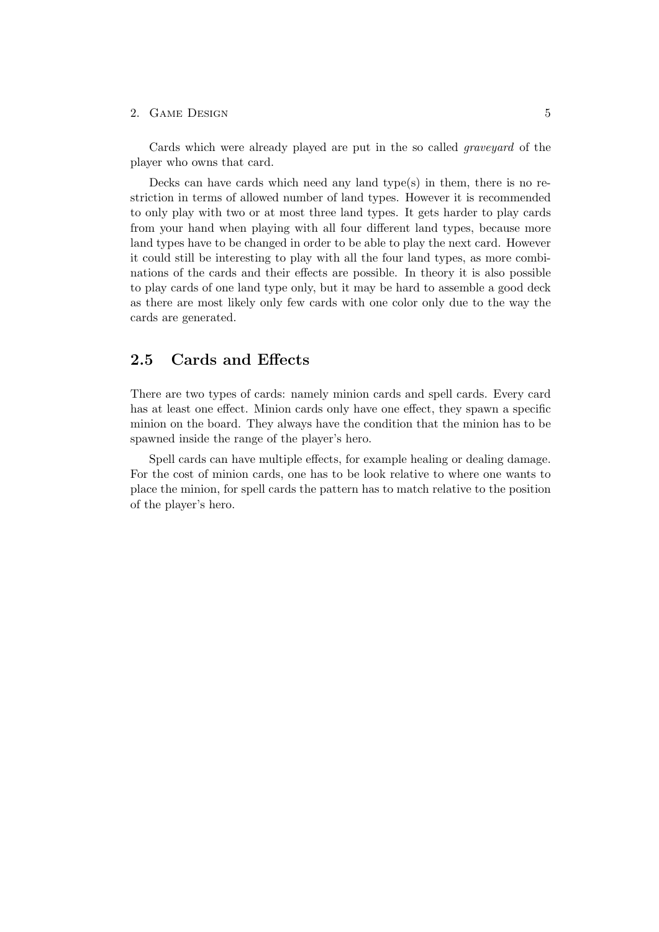#### 2. GAME DESIGN 5

Cards which were already played are put in the so called graveyard of the player who owns that card.

Decks can have cards which need any land type(s) in them, there is no restriction in terms of allowed number of land types. However it is recommended to only play with two or at most three land types. It gets harder to play cards from your hand when playing with all four different land types, because more land types have to be changed in order to be able to play the next card. However it could still be interesting to play with all the four land types, as more combinations of the cards and their effects are possible. In theory it is also possible to play cards of one land type only, but it may be hard to assemble a good deck as there are most likely only few cards with one color only due to the way the cards are generated.

## <span id="page-9-0"></span>2.5 Cards and Effects

There are two types of cards: namely minion cards and spell cards. Every card has at least one effect. Minion cards only have one effect, they spawn a specific minion on the board. They always have the condition that the minion has to be spawned inside the range of the player's hero.

Spell cards can have multiple effects, for example healing or dealing damage. For the cost of minion cards, one has to be look relative to where one wants to place the minion, for spell cards the pattern has to match relative to the position of the player's hero.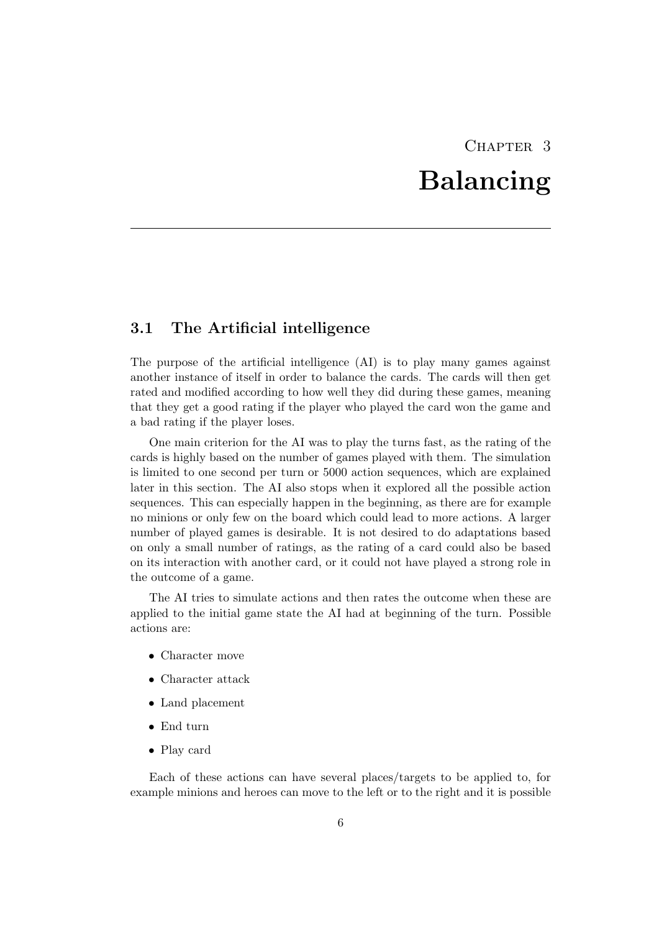## CHAPTER<sub>3</sub> Balancing

## <span id="page-10-1"></span><span id="page-10-0"></span>3.1 The Artificial intelligence

The purpose of the artificial intelligence (AI) is to play many games against another instance of itself in order to balance the cards. The cards will then get rated and modified according to how well they did during these games, meaning that they get a good rating if the player who played the card won the game and a bad rating if the player loses.

One main criterion for the AI was to play the turns fast, as the rating of the cards is highly based on the number of games played with them. The simulation is limited to one second per turn or 5000 action sequences, which are explained later in this section. The AI also stops when it explored all the possible action sequences. This can especially happen in the beginning, as there are for example no minions or only few on the board which could lead to more actions. A larger number of played games is desirable. It is not desired to do adaptations based on only a small number of ratings, as the rating of a card could also be based on its interaction with another card, or it could not have played a strong role in the outcome of a game.

The AI tries to simulate actions and then rates the outcome when these are applied to the initial game state the AI had at beginning of the turn. Possible actions are:

- Character move
- Character attack
- Land placement
- End turn
- Play card

Each of these actions can have several places/targets to be applied to, for example minions and heroes can move to the left or to the right and it is possible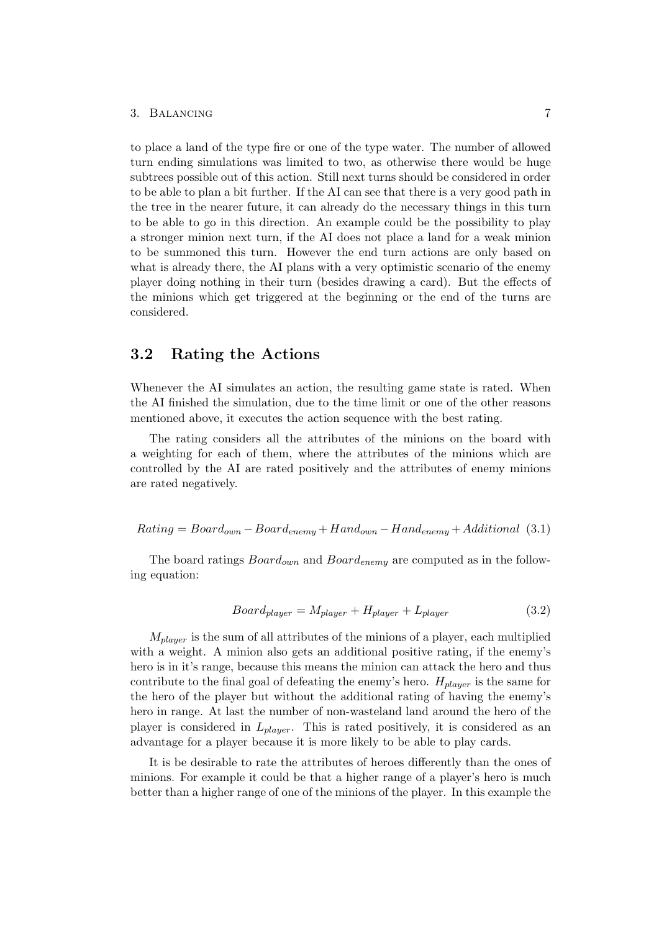#### 3. Balancing 7

to place a land of the type fire or one of the type water. The number of allowed turn ending simulations was limited to two, as otherwise there would be huge subtrees possible out of this action. Still next turns should be considered in order to be able to plan a bit further. If the AI can see that there is a very good path in the tree in the nearer future, it can already do the necessary things in this turn to be able to go in this direction. An example could be the possibility to play a stronger minion next turn, if the AI does not place a land for a weak minion to be summoned this turn. However the end turn actions are only based on what is already there, the AI plans with a very optimistic scenario of the enemy player doing nothing in their turn (besides drawing a card). But the effects of the minions which get triggered at the beginning or the end of the turns are considered.

### <span id="page-11-0"></span>3.2 Rating the Actions

Whenever the AI simulates an action, the resulting game state is rated. When the AI finished the simulation, due to the time limit or one of the other reasons mentioned above, it executes the action sequence with the best rating.

The rating considers all the attributes of the minions on the board with a weighting for each of them, where the attributes of the minions which are controlled by the AI are rated positively and the attributes of enemy minions are rated negatively.

 $Rating = Board_{own - Board_{enemu} + Hand_{own - Hand_{enemu} + Additional$  (3.1)

The board ratings  $Board_{own}$  and  $Board_{enemy}$  are computed as in the following equation:

$$
Board_{player} = M_{player} + H_{player} + L_{player}
$$
\n(3.2)

 $M_{player}$  is the sum of all attributes of the minions of a player, each multiplied with a weight. A minion also gets an additional positive rating, if the enemy's hero is in it's range, because this means the minion can attack the hero and thus contribute to the final goal of defeating the enemy's hero.  $H_{player}$  is the same for the hero of the player but without the additional rating of having the enemy's hero in range. At last the number of non-wasteland land around the hero of the player is considered in  $L_{player}$ . This is rated positively, it is considered as an advantage for a player because it is more likely to be able to play cards.

It is be desirable to rate the attributes of heroes differently than the ones of minions. For example it could be that a higher range of a player's hero is much better than a higher range of one of the minions of the player. In this example the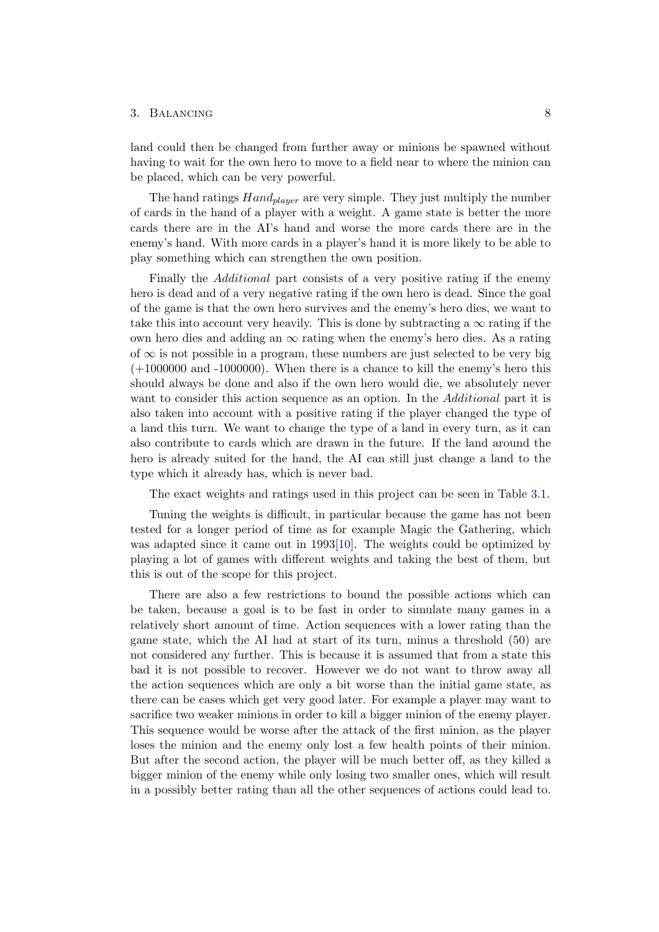#### 3. BALANCING 8

land could then be changed from further away or minions be spawned without having to wait for the own hero to move to a field near to where the minion can be placed, which can be very powerful.

The hand ratings  $Hand_{player}$  are very simple. They just multiply the number of cards in the hand of a player with a weight. A game state is better the more cards there are in the AI's hand and worse the more cards there are in the enemy's hand. With more cards in a player's hand it is more likely to be able to play something which can strengthen the own position.

Finally the *Additional* part consists of a very positive rating if the enemy hero is dead and of a very negative rating if the own hero is dead. Since the goal of the game is that the own hero survives and the enemy's hero dies, we want to take this into account very heavily. This is done by subtracting a  $\infty$  rating if the own hero dies and adding an  $\infty$  rating when the enemy's hero dies. As a rating of  $\infty$  is not possible in a program, these numbers are just selected to be very big  $(+1000000$  and  $-1000000$ . When there is a chance to kill the enemy's hero this should always be done and also if the own hero would die, we absolutely never want to consider this action sequence as an option. In the *Additional* part it is also taken into account with a positive rating if the player changed the type of a land this turn. We want to change the type of a land in every turn, as it can also contribute to cards which are drawn in the future. If the land around the hero is already suited for the hand, the AI can still just change a land to the type which it already has, which is never bad.

The exact weights and ratings used in this project can be seen in Table [3.1.](#page-13-1)

Tuning the weights is difficult, in particular because the game has not been tested for a longer period of time as for example Magic the Gathering, which was adapted since it came out in 1993[\[10\]](#page-36-10). The weights could be optimized by playing a lot of games with different weights and taking the best of them, but this is out of the scope for this project.

There are also a few restrictions to bound the possible actions which can be taken, because a goal is to be fast in order to simulate many games in a relatively short amount of time. Action sequences with a lower rating than the game state, which the AI had at start of its turn, minus a threshold (50) are not considered any further. This is because it is assumed that from a state this bad it is not possible to recover. However we do not want to throw away all the action sequences which are only a bit worse than the initial game state, as there can be cases which get very good later. For example a player may want to sacrifice two weaker minions in order to kill a bigger minion of the enemy player. This sequence would be worse after the attack of the first minion, as the player loses the minion and the enemy only lost a few health points of their minion. But after the second action, the player will be much better off, as they killed a bigger minion of the enemy while only losing two smaller ones, which will result in a possibly better rating than all the other sequences of actions could lead to.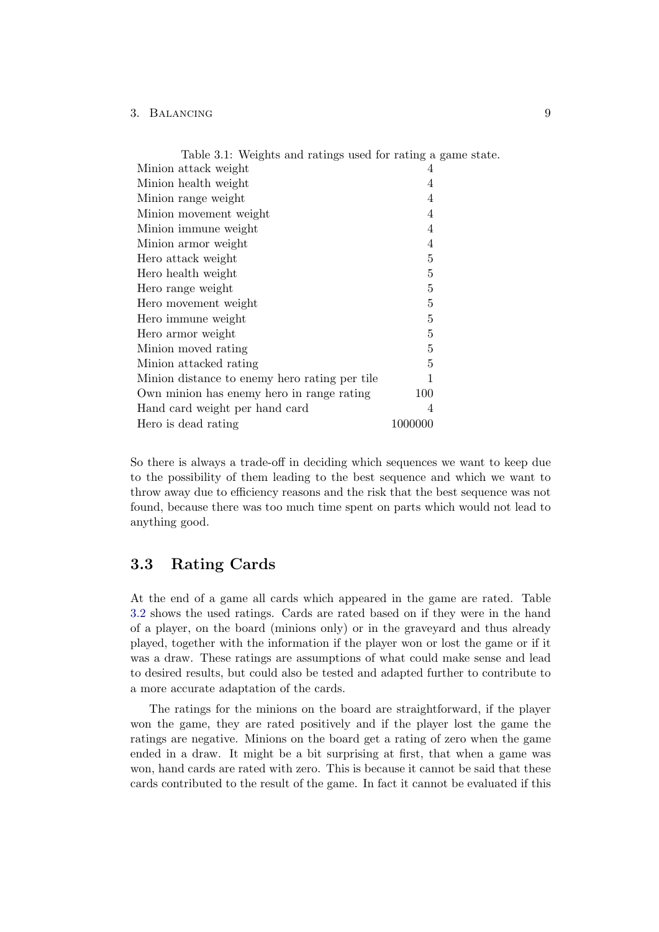#### 3. Balancing 9

<span id="page-13-1"></span>

| Table 3.1: Weights and ratings used for rating a game state. |                |
|--------------------------------------------------------------|----------------|
| Minion attack weight                                         | 4              |
| Minion health weight                                         | 4              |
| Minion range weight                                          | 4              |
| Minion movement weight                                       | 4              |
| Minion immune weight                                         | 4              |
| Minion armor weight                                          | 4              |
| Hero attack weight                                           | 5              |
| Hero health weight                                           | 5              |
| Hero range weight                                            | 5              |
| Hero movement weight                                         | $\overline{5}$ |
| Hero immune weight                                           | 5              |
| Hero armor weight                                            | $\overline{5}$ |
| Minion moved rating                                          | 5              |
| Minion attacked rating                                       | 5              |
| Minion distance to enemy hero rating per tile                | 1              |
| Own minion has enemy hero in range rating                    | 100            |
| Hand card weight per hand card                               | $\overline{4}$ |
| Hero is dead rating                                          | 1000000        |

So there is always a trade-off in deciding which sequences we want to keep due to the possibility of them leading to the best sequence and which we want to throw away due to efficiency reasons and the risk that the best sequence was not found, because there was too much time spent on parts which would not lead to anything good.

### <span id="page-13-0"></span>3.3 Rating Cards

At the end of a game all cards which appeared in the game are rated. Table [3.2](#page-14-1) shows the used ratings. Cards are rated based on if they were in the hand of a player, on the board (minions only) or in the graveyard and thus already played, together with the information if the player won or lost the game or if it was a draw. These ratings are assumptions of what could make sense and lead to desired results, but could also be tested and adapted further to contribute to a more accurate adaptation of the cards.

The ratings for the minions on the board are straightforward, if the player won the game, they are rated positively and if the player lost the game the ratings are negative. Minions on the board get a rating of zero when the game ended in a draw. It might be a bit surprising at first, that when a game was won, hand cards are rated with zero. This is because it cannot be said that these cards contributed to the result of the game. In fact it cannot be evaluated if this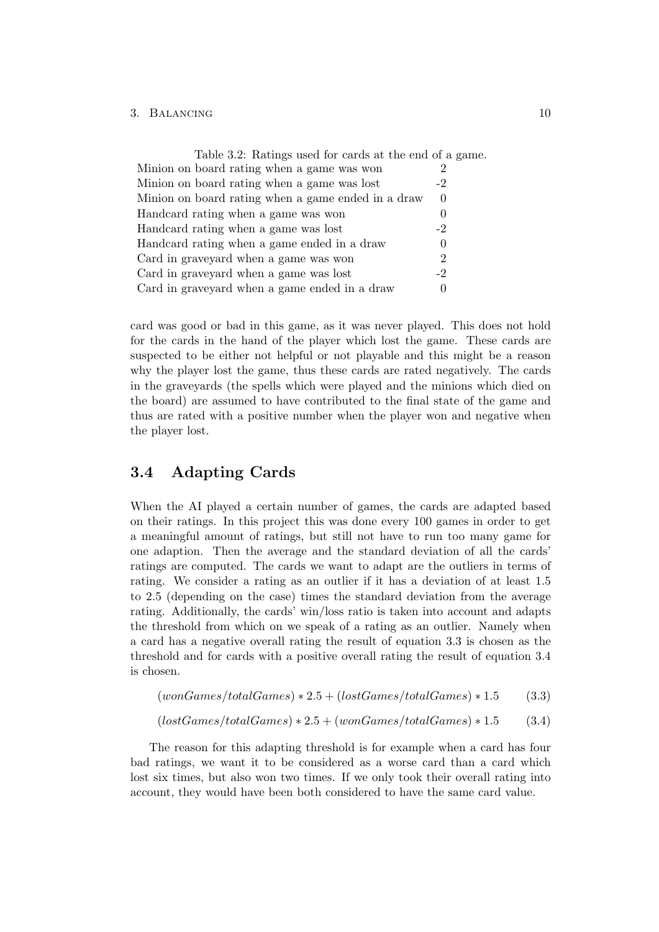#### 3. BALANCING 10

<span id="page-14-1"></span>

| Table 3.2: Ratings used for cards at the end of a game. |          |
|---------------------------------------------------------|----------|
| Minion on board rating when a game was won              |          |
| Minion on board rating when a game was lost             | -2       |
| Minion on board rating when a game ended in a draw      | $\theta$ |
| Handcard rating when a game was won                     | U        |
| Handcard rating when a game was lost                    | $-2$     |
| Handcard rating when a game ended in a draw             |          |
| Card in graveyard when a game was won                   | 2        |
| Card in graveyard when a game was lost                  | -2       |
| Card in graveyard when a game ended in a draw           |          |

card was good or bad in this game, as it was never played. This does not hold for the cards in the hand of the player which lost the game. These cards are suspected to be either not helpful or not playable and this might be a reason why the player lost the game, thus these cards are rated negatively. The cards in the graveyards (the spells which were played and the minions which died on the board) are assumed to have contributed to the final state of the game and thus are rated with a positive number when the player won and negative when the player lost.

## <span id="page-14-0"></span>3.4 Adapting Cards

When the AI played a certain number of games, the cards are adapted based on their ratings. In this project this was done every 100 games in order to get a meaningful amount of ratings, but still not have to run too many game for one adaption. Then the average and the standard deviation of all the cards' ratings are computed. The cards we want to adapt are the outliers in terms of rating. We consider a rating as an outlier if it has a deviation of at least 1.5 to 2.5 (depending on the case) times the standard deviation from the average rating. Additionally, the cards' win/loss ratio is taken into account and adapts the threshold from which on we speak of a rating as an outlier. Namely when a card has a negative overall rating the result of equation 3.3 is chosen as the threshold and for cards with a positive overall rating the result of equation 3.4 is chosen.

$$
(wonGames/totalGames) * 2.5 + (lostGames/totalGames) * 1.5 \qquad (3.3)
$$

 $(lostGames/totalGames) * 2.5 + (wonGames/totalGames) * 1.5$  (3.4)

The reason for this adapting threshold is for example when a card has four bad ratings, we want it to be considered as a worse card than a card which lost six times, but also won two times. If we only took their overall rating into account, they would have been both considered to have the same card value.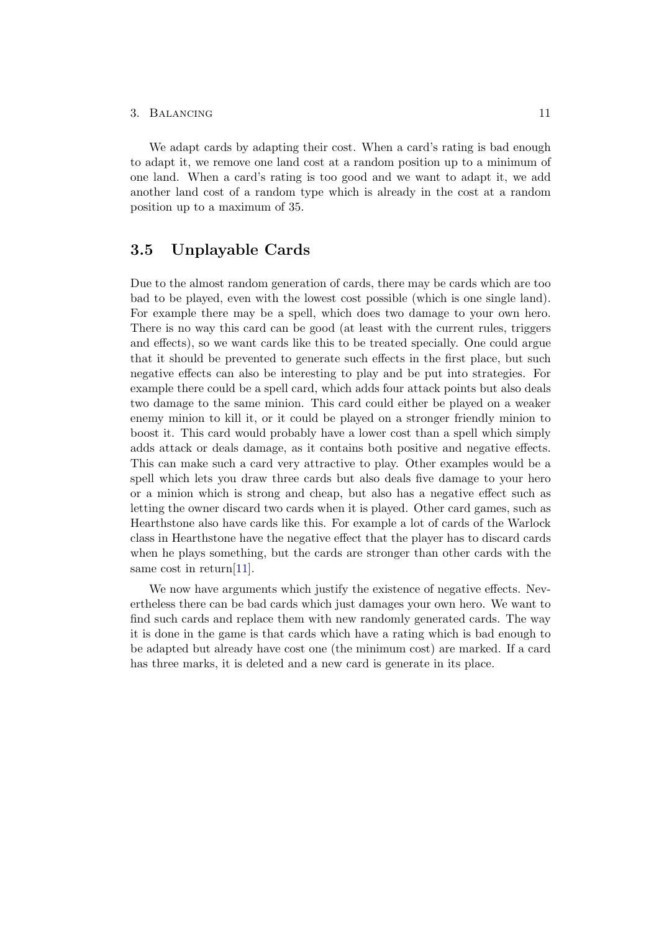#### 3. BALANCING 11

We adapt cards by adapting their cost. When a card's rating is bad enough to adapt it, we remove one land cost at a random position up to a minimum of one land. When a card's rating is too good and we want to adapt it, we add another land cost of a random type which is already in the cost at a random position up to a maximum of 35.

## <span id="page-15-0"></span>3.5 Unplayable Cards

Due to the almost random generation of cards, there may be cards which are too bad to be played, even with the lowest cost possible (which is one single land). For example there may be a spell, which does two damage to your own hero. There is no way this card can be good (at least with the current rules, triggers and effects), so we want cards like this to be treated specially. One could argue that it should be prevented to generate such effects in the first place, but such negative effects can also be interesting to play and be put into strategies. For example there could be a spell card, which adds four attack points but also deals two damage to the same minion. This card could either be played on a weaker enemy minion to kill it, or it could be played on a stronger friendly minion to boost it. This card would probably have a lower cost than a spell which simply adds attack or deals damage, as it contains both positive and negative effects. This can make such a card very attractive to play. Other examples would be a spell which lets you draw three cards but also deals five damage to your hero or a minion which is strong and cheap, but also has a negative effect such as letting the owner discard two cards when it is played. Other card games, such as Hearthstone also have cards like this. For example a lot of cards of the Warlock class in Hearthstone have the negative effect that the player has to discard cards when he plays something, but the cards are stronger than other cards with the same cost in return[\[11\]](#page-36-11).

We now have arguments which justify the existence of negative effects. Nevertheless there can be bad cards which just damages your own hero. We want to find such cards and replace them with new randomly generated cards. The way it is done in the game is that cards which have a rating which is bad enough to be adapted but already have cost one (the minimum cost) are marked. If a card has three marks, it is deleted and a new card is generate in its place.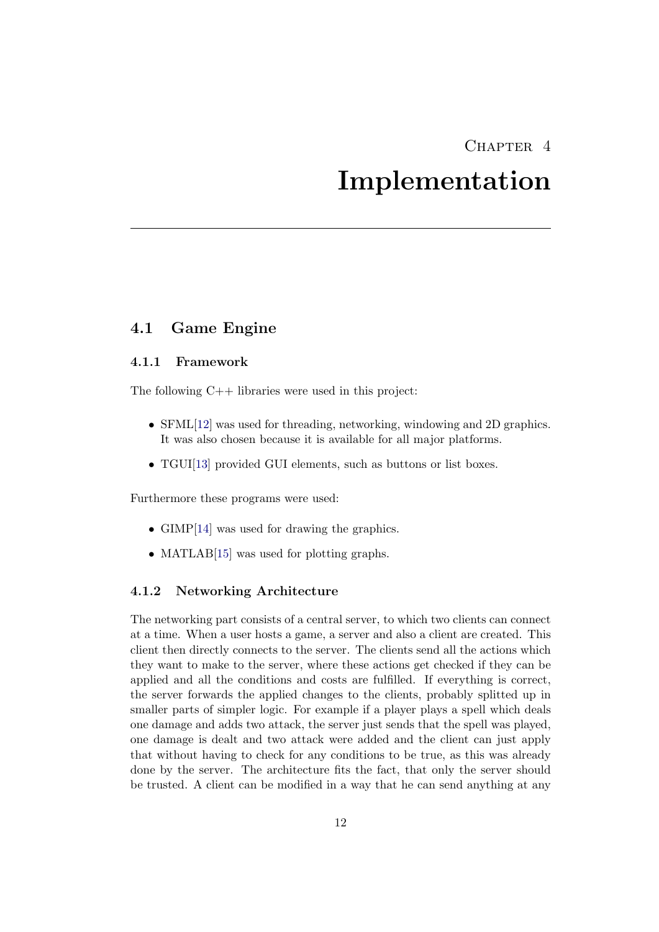## CHAPTER<sub>4</sub>

## Implementation

### <span id="page-16-1"></span><span id="page-16-0"></span>4.1 Game Engine

#### <span id="page-16-2"></span>4.1.1 Framework

The following C++ libraries were used in this project:

- SFML[\[12\]](#page-36-12) was used for threading, networking, windowing and 2D graphics. It was also chosen because it is available for all major platforms.
- TGUI<sup>[\[13\]](#page-36-13)</sup> provided GUI elements, such as buttons or list boxes.

Furthermore these programs were used:

- GIMP[\[14\]](#page-36-14) was used for drawing the graphics.
- MATLAB[\[15\]](#page-37-0) was used for plotting graphs.

#### <span id="page-16-3"></span>4.1.2 Networking Architecture

The networking part consists of a central server, to which two clients can connect at a time. When a user hosts a game, a server and also a client are created. This client then directly connects to the server. The clients send all the actions which they want to make to the server, where these actions get checked if they can be applied and all the conditions and costs are fulfilled. If everything is correct, the server forwards the applied changes to the clients, probably splitted up in smaller parts of simpler logic. For example if a player plays a spell which deals one damage and adds two attack, the server just sends that the spell was played, one damage is dealt and two attack were added and the client can just apply that without having to check for any conditions to be true, as this was already done by the server. The architecture fits the fact, that only the server should be trusted. A client can be modified in a way that he can send anything at any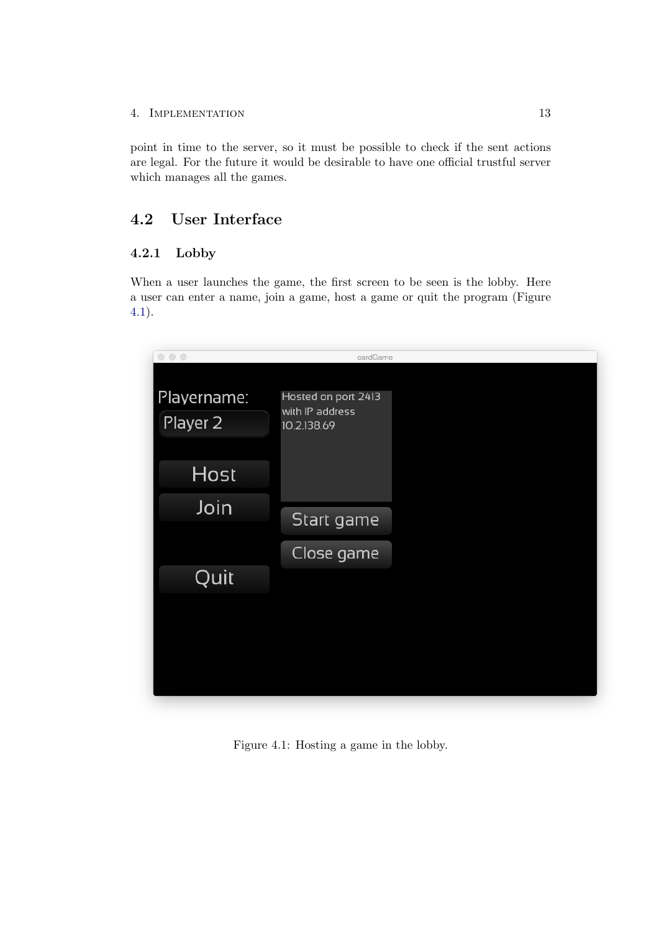#### 4. IMPLEMENTATION 13

point in time to the server, so it must be possible to check if the sent actions are legal. For the future it would be desirable to have one official trustful server which manages all the games.

## <span id="page-17-0"></span>4.2 User Interface

## <span id="page-17-1"></span>4.2.1 Lobby

When a user launches the game, the first screen to be seen is the lobby. Here a user can enter a name, join a game, host a game or quit the program (Figure [4.1\)](#page-17-2).

<span id="page-17-2"></span>

Figure 4.1: Hosting a game in the lobby.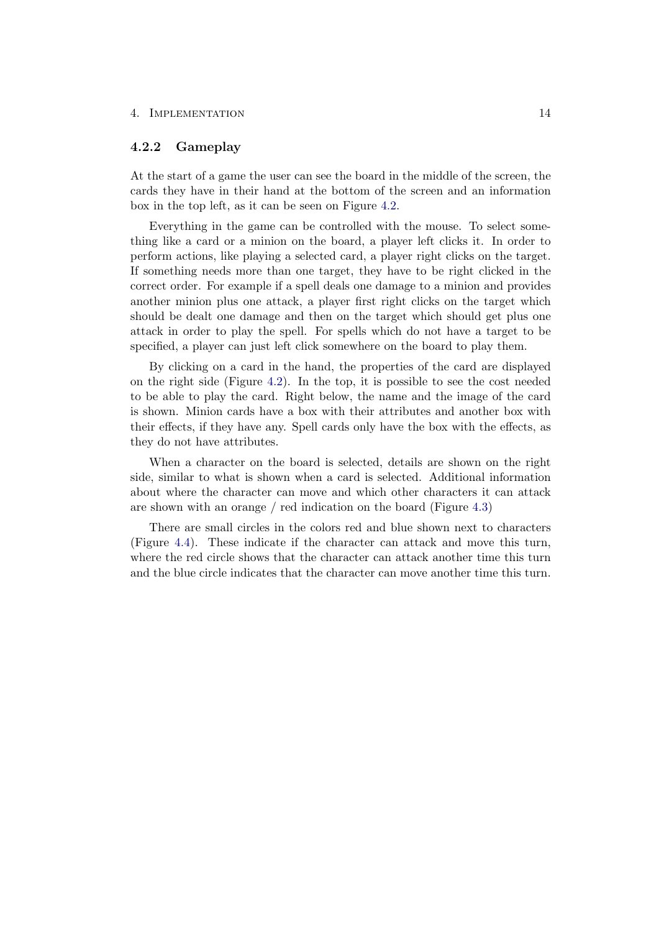#### 4. Implementation 14

#### <span id="page-18-0"></span>4.2.2 Gameplay

At the start of a game the user can see the board in the middle of the screen, the cards they have in their hand at the bottom of the screen and an information box in the top left, as it can be seen on Figure [4.2.](#page-19-0)

Everything in the game can be controlled with the mouse. To select something like a card or a minion on the board, a player left clicks it. In order to perform actions, like playing a selected card, a player right clicks on the target. If something needs more than one target, they have to be right clicked in the correct order. For example if a spell deals one damage to a minion and provides another minion plus one attack, a player first right clicks on the target which should be dealt one damage and then on the target which should get plus one attack in order to play the spell. For spells which do not have a target to be specified, a player can just left click somewhere on the board to play them.

By clicking on a card in the hand, the properties of the card are displayed on the right side (Figure [4.2\)](#page-19-0). In the top, it is possible to see the cost needed to be able to play the card. Right below, the name and the image of the card is shown. Minion cards have a box with their attributes and another box with their effects, if they have any. Spell cards only have the box with the effects, as they do not have attributes.

When a character on the board is selected, details are shown on the right side, similar to what is shown when a card is selected. Additional information about where the character can move and which other characters it can attack are shown with an orange / red indication on the board (Figure [4.3\)](#page-20-0)

There are small circles in the colors red and blue shown next to characters (Figure [4.4\)](#page-20-1). These indicate if the character can attack and move this turn, where the red circle shows that the character can attack another time this turn and the blue circle indicates that the character can move another time this turn.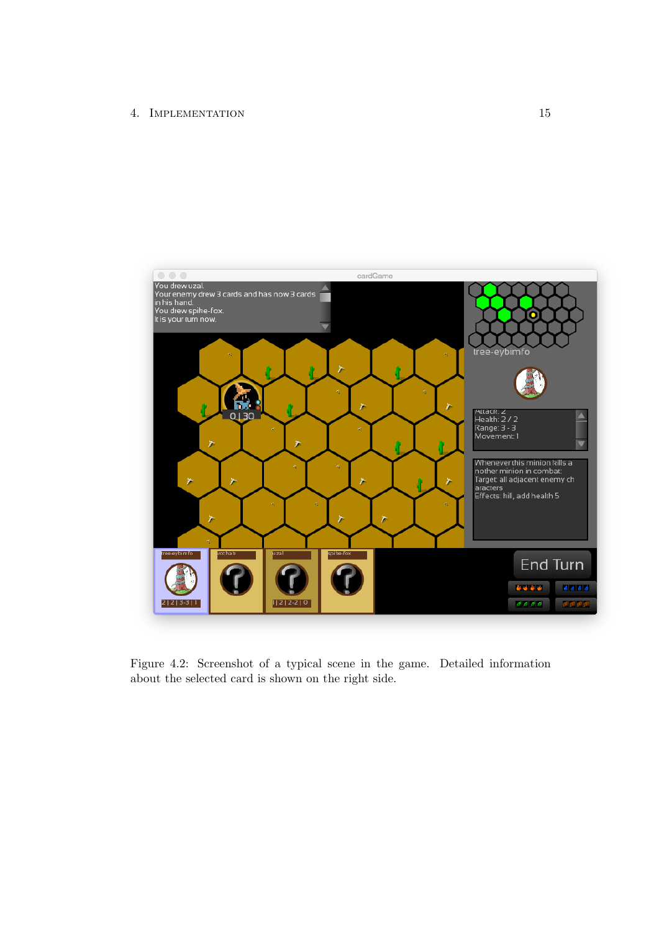

<span id="page-19-0"></span>Figure 4.2: Screenshot of a typical scene in the game. Detailed information about the selected card is shown on the right side.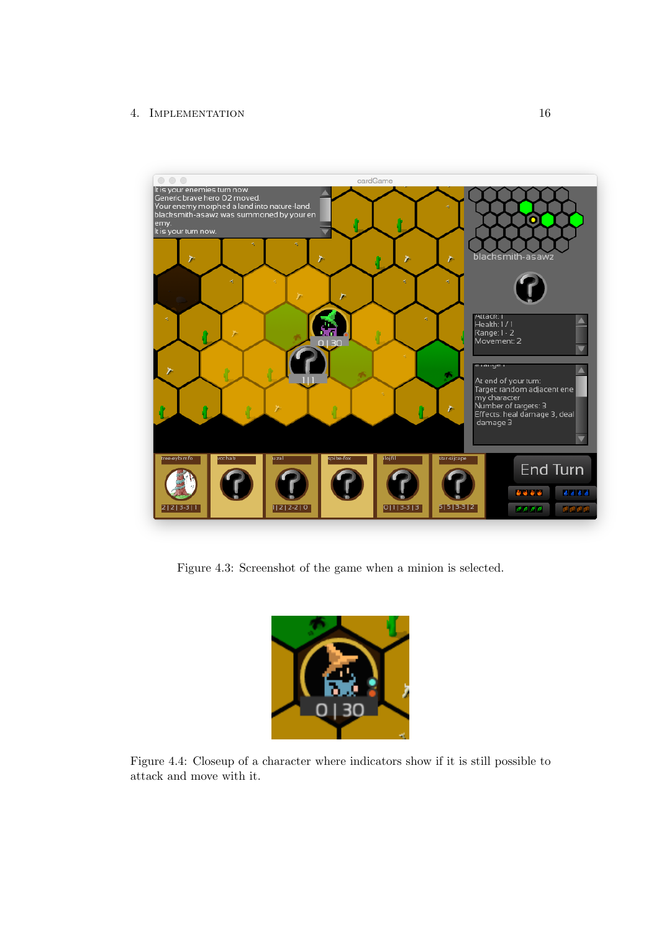### 4. IMPLEMENTATION 16



<span id="page-20-0"></span>Figure 4.3: Screenshot of the game when a minion is selected.

<span id="page-20-1"></span>

Figure 4.4: Closeup of a character where indicators show if it is still possible to attack and move with it.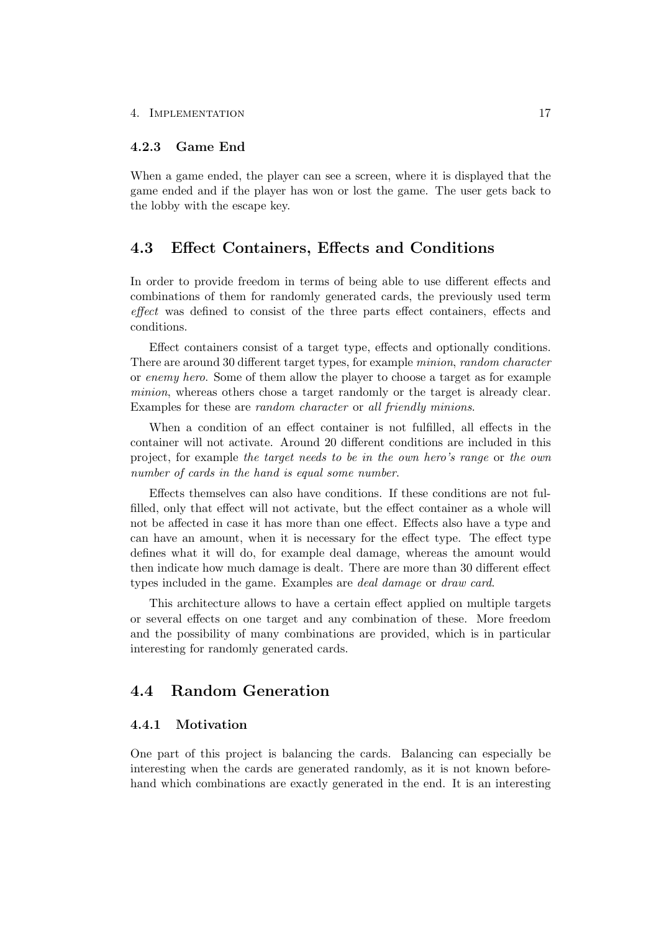#### 4. IMPLEMENTATION 17

#### <span id="page-21-0"></span>4.2.3 Game End

When a game ended, the player can see a screen, where it is displayed that the game ended and if the player has won or lost the game. The user gets back to the lobby with the escape key.

## <span id="page-21-1"></span>4.3 Effect Containers, Effects and Conditions

In order to provide freedom in terms of being able to use different effects and combinations of them for randomly generated cards, the previously used term effect was defined to consist of the three parts effect containers, effects and conditions.

Effect containers consist of a target type, effects and optionally conditions. There are around 30 different target types, for example minion, random character or enemy hero. Some of them allow the player to choose a target as for example minion, whereas others chose a target randomly or the target is already clear. Examples for these are *random character* or all friendly minions.

When a condition of an effect container is not fulfilled, all effects in the container will not activate. Around 20 different conditions are included in this project, for example the target needs to be in the own hero's range or the own number of cards in the hand is equal some number.

Effects themselves can also have conditions. If these conditions are not fulfilled, only that effect will not activate, but the effect container as a whole will not be affected in case it has more than one effect. Effects also have a type and can have an amount, when it is necessary for the effect type. The effect type defines what it will do, for example deal damage, whereas the amount would then indicate how much damage is dealt. There are more than 30 different effect types included in the game. Examples are deal damage or draw card.

This architecture allows to have a certain effect applied on multiple targets or several effects on one target and any combination of these. More freedom and the possibility of many combinations are provided, which is in particular interesting for randomly generated cards.

## <span id="page-21-2"></span>4.4 Random Generation

### <span id="page-21-3"></span>4.4.1 Motivation

One part of this project is balancing the cards. Balancing can especially be interesting when the cards are generated randomly, as it is not known beforehand which combinations are exactly generated in the end. It is an interesting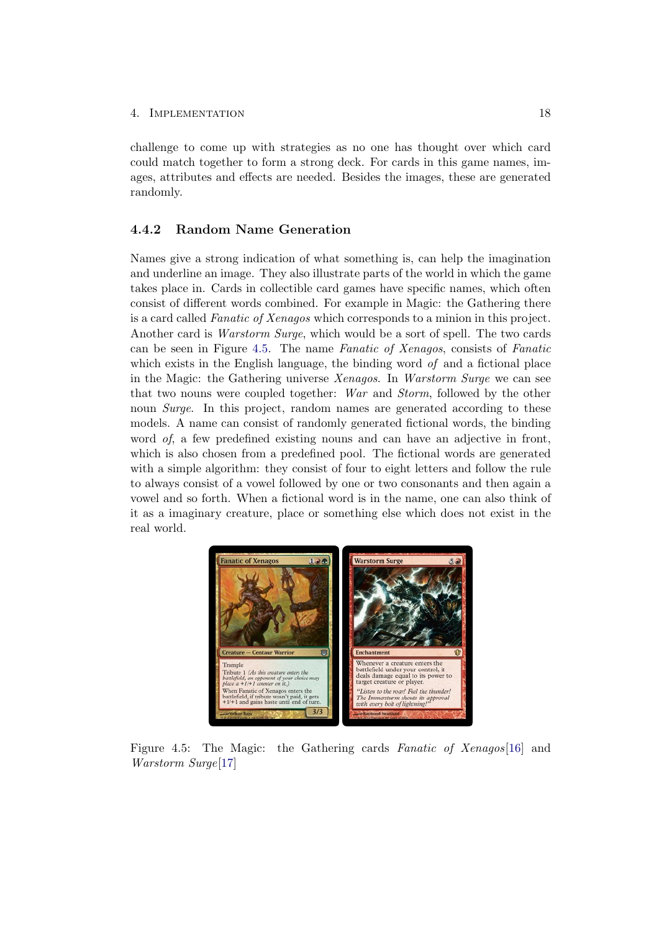#### 4. Implementation 18

challenge to come up with strategies as no one has thought over which card could match together to form a strong deck. For cards in this game names, images, attributes and effects are needed. Besides the images, these are generated randomly.

### <span id="page-22-0"></span>4.4.2 Random Name Generation

Names give a strong indication of what something is, can help the imagination and underline an image. They also illustrate parts of the world in which the game takes place in. Cards in collectible card games have specific names, which often consist of different words combined. For example in Magic: the Gathering there is a card called Fanatic of Xenagos which corresponds to a minion in this project. Another card is Warstorm Surge, which would be a sort of spell. The two cards can be seen in Figure [4.5.](#page-22-1) The name Fanatic of Xenagos, consists of Fanatic which exists in the English language, the binding word of and a fictional place in the Magic: the Gathering universe Xenagos. In Warstorm Surge we can see that two nouns were coupled together: War and Storm, followed by the other noun *Surge.* In this project, random names are generated according to these models. A name can consist of randomly generated fictional words, the binding word of, a few predefined existing nouns and can have an adjective in front, which is also chosen from a predefined pool. The fictional words are generated with a simple algorithm: they consist of four to eight letters and follow the rule to always consist of a vowel followed by one or two consonants and then again a vowel and so forth. When a fictional word is in the name, one can also think of it as a imaginary creature, place or something else which does not exist in the real world.

<span id="page-22-1"></span>

Figure 4.5: The Magic: the Gathering cards Fanatic of Xenagos [\[16\]](#page-37-1) and Warstorm Surge[\[17\]](#page-37-2)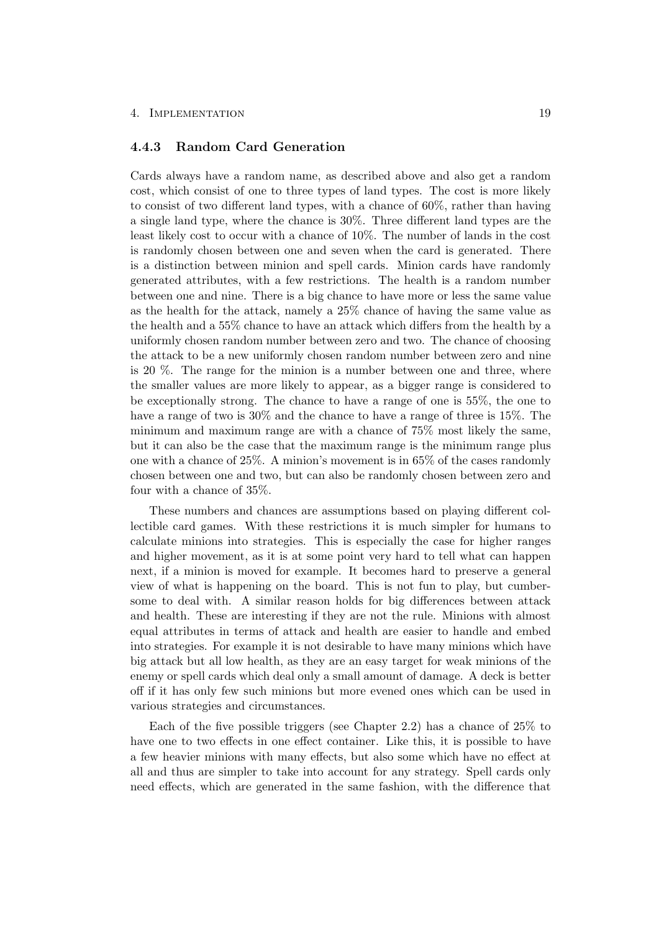#### 4. Implementation 19

#### <span id="page-23-0"></span>4.4.3 Random Card Generation

Cards always have a random name, as described above and also get a random cost, which consist of one to three types of land types. The cost is more likely to consist of two different land types, with a chance of 60%, rather than having a single land type, where the chance is 30%. Three different land types are the least likely cost to occur with a chance of 10%. The number of lands in the cost is randomly chosen between one and seven when the card is generated. There is a distinction between minion and spell cards. Minion cards have randomly generated attributes, with a few restrictions. The health is a random number between one and nine. There is a big chance to have more or less the same value as the health for the attack, namely a 25% chance of having the same value as the health and a 55% chance to have an attack which differs from the health by a uniformly chosen random number between zero and two. The chance of choosing the attack to be a new uniformly chosen random number between zero and nine is 20 %. The range for the minion is a number between one and three, where the smaller values are more likely to appear, as a bigger range is considered to be exceptionally strong. The chance to have a range of one is 55%, the one to have a range of two is  $30\%$  and the chance to have a range of three is 15%. The minimum and maximum range are with a chance of 75% most likely the same, but it can also be the case that the maximum range is the minimum range plus one with a chance of 25%. A minion's movement is in 65% of the cases randomly chosen between one and two, but can also be randomly chosen between zero and four with a chance of 35%.

These numbers and chances are assumptions based on playing different collectible card games. With these restrictions it is much simpler for humans to calculate minions into strategies. This is especially the case for higher ranges and higher movement, as it is at some point very hard to tell what can happen next, if a minion is moved for example. It becomes hard to preserve a general view of what is happening on the board. This is not fun to play, but cumbersome to deal with. A similar reason holds for big differences between attack and health. These are interesting if they are not the rule. Minions with almost equal attributes in terms of attack and health are easier to handle and embed into strategies. For example it is not desirable to have many minions which have big attack but all low health, as they are an easy target for weak minions of the enemy or spell cards which deal only a small amount of damage. A deck is better off if it has only few such minions but more evened ones which can be used in various strategies and circumstances.

Each of the five possible triggers (see Chapter 2.2) has a chance of 25% to have one to two effects in one effect container. Like this, it is possible to have a few heavier minions with many effects, but also some which have no effect at all and thus are simpler to take into account for any strategy. Spell cards only need effects, which are generated in the same fashion, with the difference that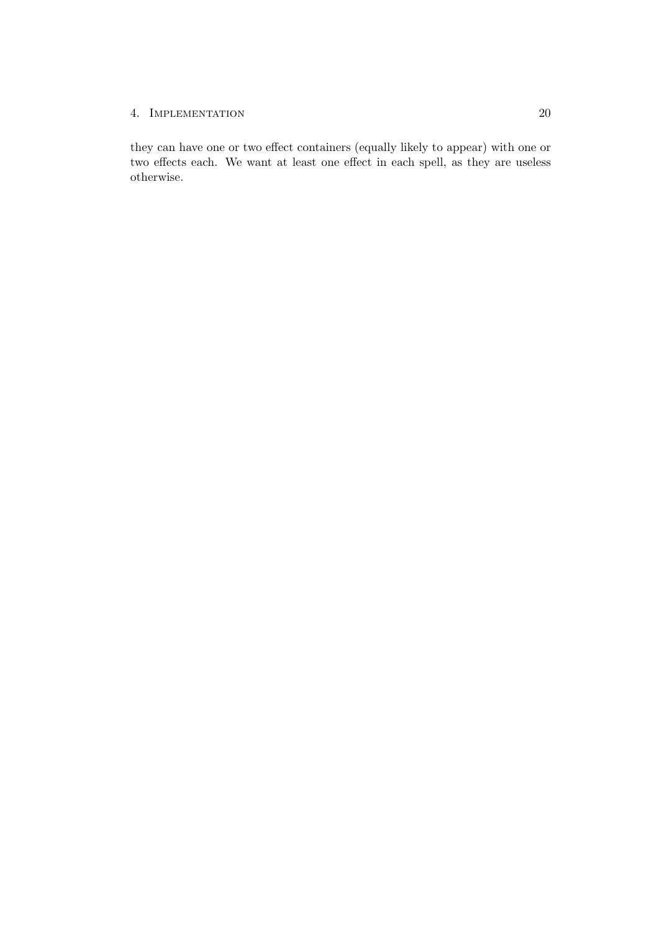### 4. IMPLEMENTATION 20

they can have one or two effect containers (equally likely to appear) with one or two effects each. We want at least one effect in each spell, as they are useless otherwise.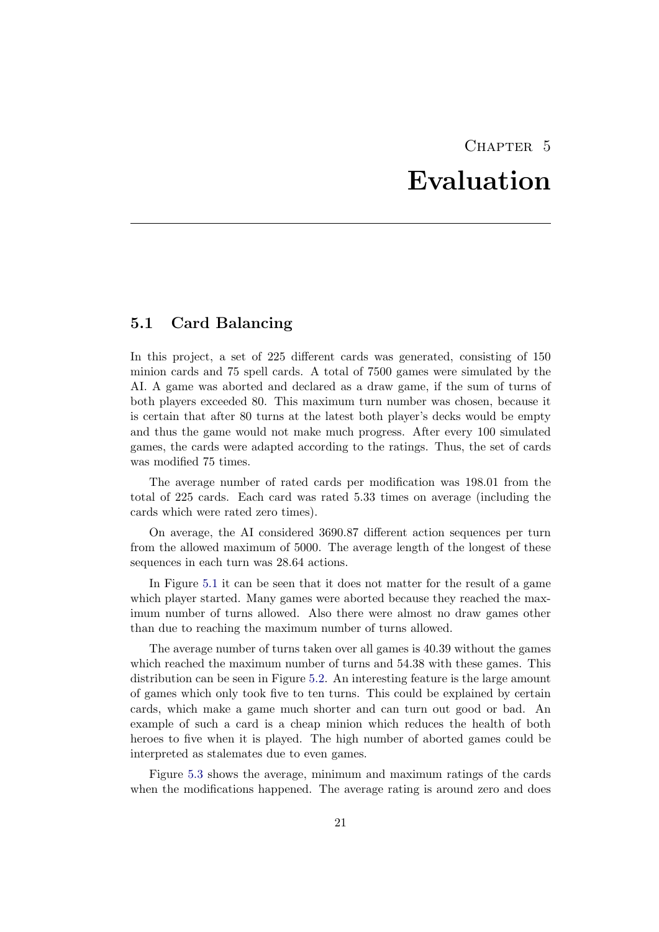## CHAPTER<sub>5</sub> Evaluation

## <span id="page-25-1"></span><span id="page-25-0"></span>5.1 Card Balancing

In this project, a set of 225 different cards was generated, consisting of 150 minion cards and 75 spell cards. A total of 7500 games were simulated by the AI. A game was aborted and declared as a draw game, if the sum of turns of both players exceeded 80. This maximum turn number was chosen, because it is certain that after 80 turns at the latest both player's decks would be empty and thus the game would not make much progress. After every 100 simulated games, the cards were adapted according to the ratings. Thus, the set of cards was modified 75 times.

The average number of rated cards per modification was 198.01 from the total of 225 cards. Each card was rated 5.33 times on average (including the cards which were rated zero times).

On average, the AI considered 3690.87 different action sequences per turn from the allowed maximum of 5000. The average length of the longest of these sequences in each turn was 28.64 actions.

In Figure [5.1](#page-26-0) it can be seen that it does not matter for the result of a game which player started. Many games were aborted because they reached the maximum number of turns allowed. Also there were almost no draw games other than due to reaching the maximum number of turns allowed.

The average number of turns taken over all games is 40.39 without the games which reached the maximum number of turns and 54.38 with these games. This distribution can be seen in Figure [5.2.](#page-26-1) An interesting feature is the large amount of games which only took five to ten turns. This could be explained by certain cards, which make a game much shorter and can turn out good or bad. An example of such a card is a cheap minion which reduces the health of both heroes to five when it is played. The high number of aborted games could be interpreted as stalemates due to even games.

Figure [5.3](#page-27-0) shows the average, minimum and maximum ratings of the cards when the modifications happened. The average rating is around zero and does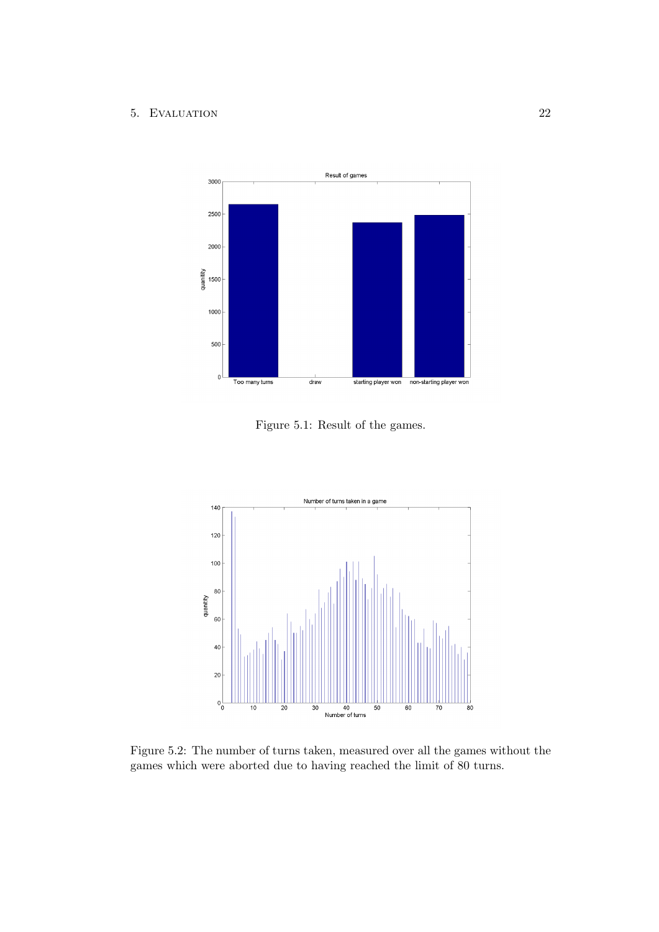

<span id="page-26-0"></span>Figure 5.1: Result of the games.



<span id="page-26-1"></span>Figure 5.2: The number of turns taken, measured over all the games without the games which were aborted due to having reached the limit of 80 turns.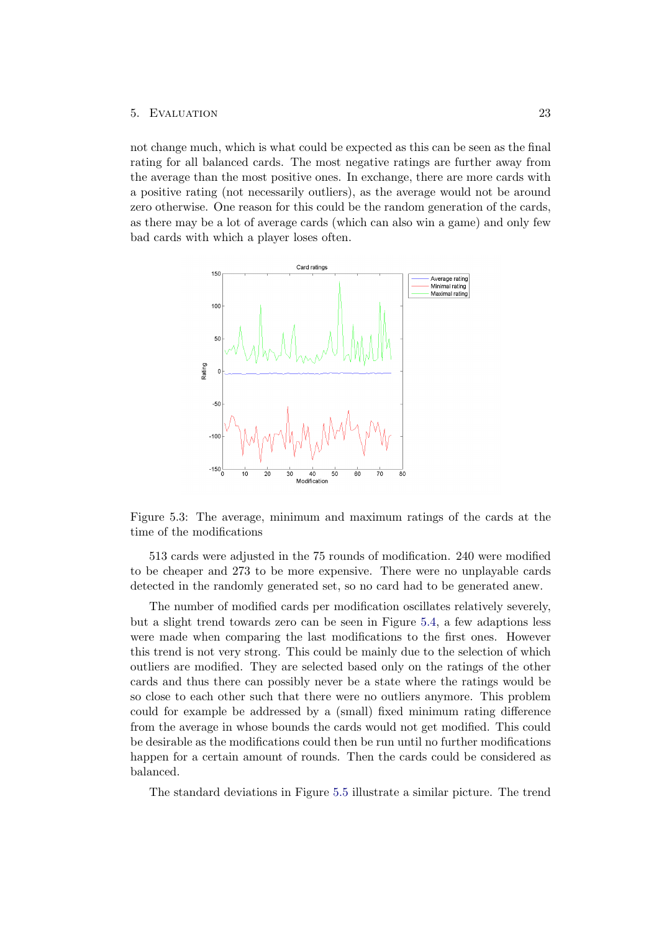not change much, which is what could be expected as this can be seen as the final rating for all balanced cards. The most negative ratings are further away from the average than the most positive ones. In exchange, there are more cards with a positive rating (not necessarily outliers), as the average would not be around zero otherwise. One reason for this could be the random generation of the cards, as there may be a lot of average cards (which can also win a game) and only few bad cards with which a player loses often.



<span id="page-27-0"></span>Figure 5.3: The average, minimum and maximum ratings of the cards at the time of the modifications

513 cards were adjusted in the 75 rounds of modification. 240 were modified to be cheaper and 273 to be more expensive. There were no unplayable cards detected in the randomly generated set, so no card had to be generated anew.

The number of modified cards per modification oscillates relatively severely, but a slight trend towards zero can be seen in Figure [5.4,](#page-28-0) a few adaptions less were made when comparing the last modifications to the first ones. However this trend is not very strong. This could be mainly due to the selection of which outliers are modified. They are selected based only on the ratings of the other cards and thus there can possibly never be a state where the ratings would be so close to each other such that there were no outliers anymore. This problem could for example be addressed by a (small) fixed minimum rating difference from the average in whose bounds the cards would not get modified. This could be desirable as the modifications could then be run until no further modifications happen for a certain amount of rounds. Then the cards could be considered as balanced.

The standard deviations in Figure [5.5](#page-29-0) illustrate a similar picture. The trend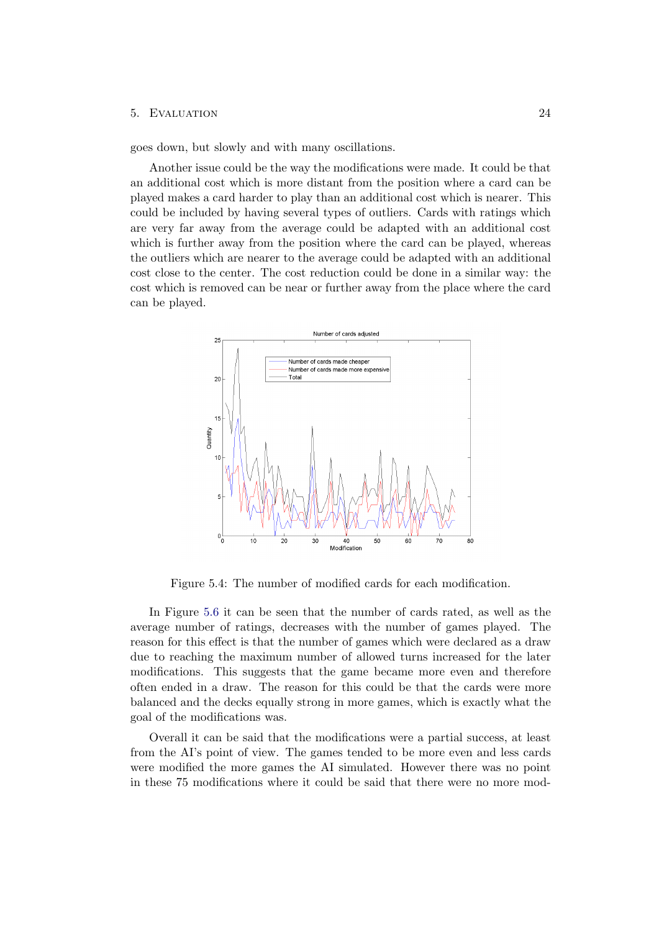goes down, but slowly and with many oscillations.

Another issue could be the way the modifications were made. It could be that an additional cost which is more distant from the position where a card can be played makes a card harder to play than an additional cost which is nearer. This could be included by having several types of outliers. Cards with ratings which are very far away from the average could be adapted with an additional cost which is further away from the position where the card can be played, whereas the outliers which are nearer to the average could be adapted with an additional cost close to the center. The cost reduction could be done in a similar way: the cost which is removed can be near or further away from the place where the card can be played.



<span id="page-28-0"></span>Figure 5.4: The number of modified cards for each modification.

In Figure [5.6](#page-29-1) it can be seen that the number of cards rated, as well as the average number of ratings, decreases with the number of games played. The reason for this effect is that the number of games which were declared as a draw due to reaching the maximum number of allowed turns increased for the later modifications. This suggests that the game became more even and therefore often ended in a draw. The reason for this could be that the cards were more balanced and the decks equally strong in more games, which is exactly what the goal of the modifications was.

Overall it can be said that the modifications were a partial success, at least from the AI's point of view. The games tended to be more even and less cards were modified the more games the AI simulated. However there was no point in these 75 modifications where it could be said that there were no more mod-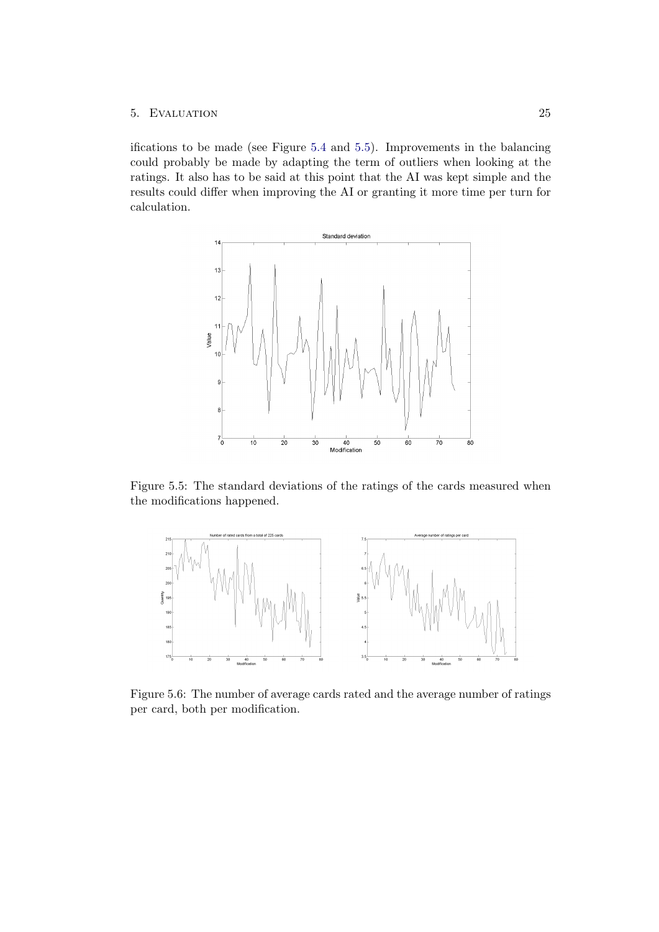ifications to be made (see Figure [5.4](#page-28-0) and [5.5\)](#page-29-0). Improvements in the balancing could probably be made by adapting the term of outliers when looking at the ratings. It also has to be said at this point that the AI was kept simple and the results could differ when improving the AI or granting it more time per turn for calculation.



<span id="page-29-0"></span>Figure 5.5: The standard deviations of the ratings of the cards measured when the modifications happened.



<span id="page-29-1"></span>Figure 5.6: The number of average cards rated and the average number of ratings per card, both per modification.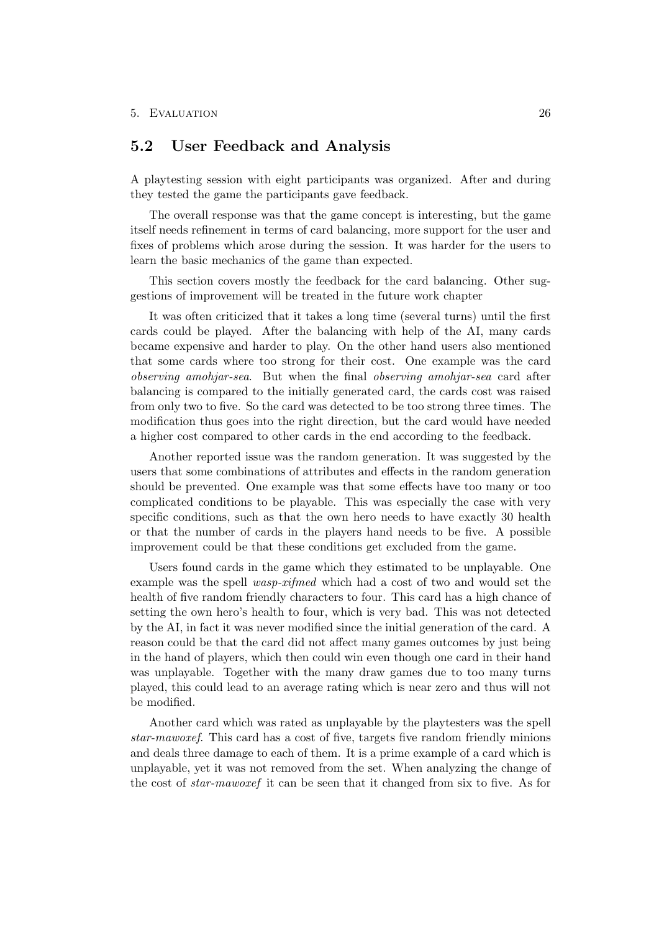## <span id="page-30-0"></span>5.2 User Feedback and Analysis

A playtesting session with eight participants was organized. After and during they tested the game the participants gave feedback.

The overall response was that the game concept is interesting, but the game itself needs refinement in terms of card balancing, more support for the user and fixes of problems which arose during the session. It was harder for the users to learn the basic mechanics of the game than expected.

This section covers mostly the feedback for the card balancing. Other suggestions of improvement will be treated in the future work chapter

It was often criticized that it takes a long time (several turns) until the first cards could be played. After the balancing with help of the AI, many cards became expensive and harder to play. On the other hand users also mentioned that some cards where too strong for their cost. One example was the card observing amohjar-sea. But when the final observing amohjar-sea card after balancing is compared to the initially generated card, the cards cost was raised from only two to five. So the card was detected to be too strong three times. The modification thus goes into the right direction, but the card would have needed a higher cost compared to other cards in the end according to the feedback.

Another reported issue was the random generation. It was suggested by the users that some combinations of attributes and effects in the random generation should be prevented. One example was that some effects have too many or too complicated conditions to be playable. This was especially the case with very specific conditions, such as that the own hero needs to have exactly 30 health or that the number of cards in the players hand needs to be five. A possible improvement could be that these conditions get excluded from the game.

Users found cards in the game which they estimated to be unplayable. One example was the spell wasp-xifmed which had a cost of two and would set the health of five random friendly characters to four. This card has a high chance of setting the own hero's health to four, which is very bad. This was not detected by the AI, in fact it was never modified since the initial generation of the card. A reason could be that the card did not affect many games outcomes by just being in the hand of players, which then could win even though one card in their hand was unplayable. Together with the many draw games due to too many turns played, this could lead to an average rating which is near zero and thus will not be modified.

Another card which was rated as unplayable by the playtesters was the spell star-mawoxef. This card has a cost of five, targets five random friendly minions and deals three damage to each of them. It is a prime example of a card which is unplayable, yet it was not removed from the set. When analyzing the change of the cost of star-mawoxef it can be seen that it changed from six to five. As for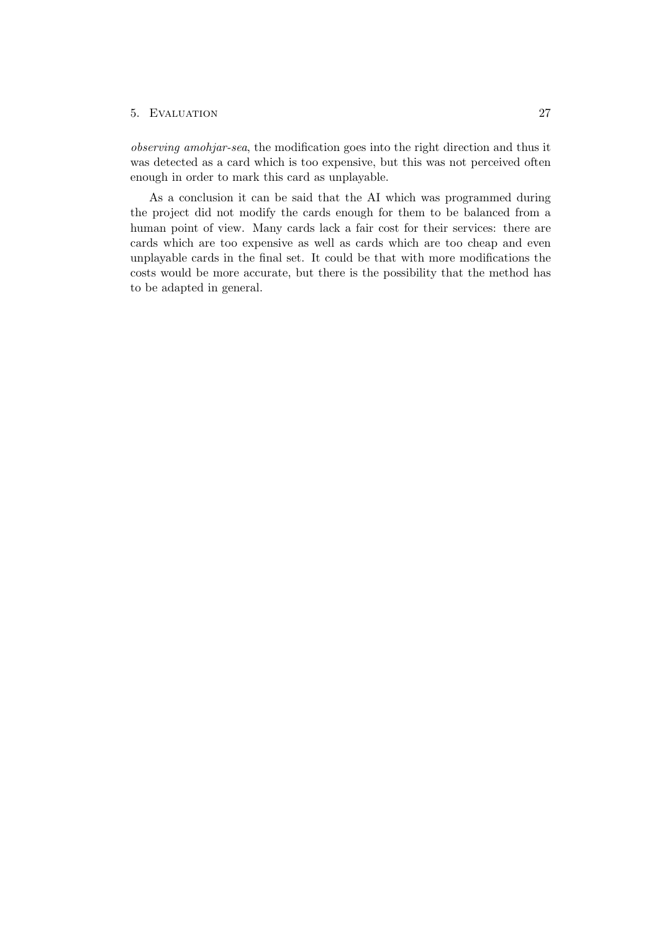observing amohjar-sea, the modification goes into the right direction and thus it was detected as a card which is too expensive, but this was not perceived often enough in order to mark this card as unplayable.

As a conclusion it can be said that the AI which was programmed during the project did not modify the cards enough for them to be balanced from a human point of view. Many cards lack a fair cost for their services: there are cards which are too expensive as well as cards which are too cheap and even unplayable cards in the final set. It could be that with more modifications the costs would be more accurate, but there is the possibility that the method has to be adapted in general.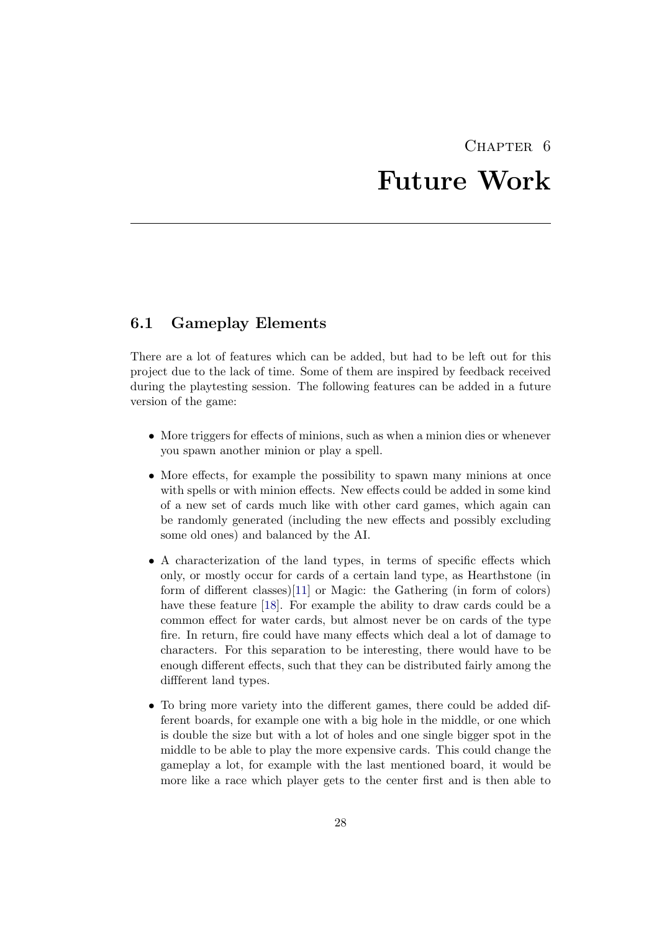## CHAPTER<sub>6</sub> Future Work

## <span id="page-32-1"></span><span id="page-32-0"></span>6.1 Gameplay Elements

There are a lot of features which can be added, but had to be left out for this project due to the lack of time. Some of them are inspired by feedback received during the playtesting session. The following features can be added in a future version of the game:

- More triggers for effects of minions, such as when a minion dies or whenever you spawn another minion or play a spell.
- More effects, for example the possibility to spawn many minions at once with spells or with minion effects. New effects could be added in some kind of a new set of cards much like with other card games, which again can be randomly generated (including the new effects and possibly excluding some old ones) and balanced by the AI.
- A characterization of the land types, in terms of specific effects which only, or mostly occur for cards of a certain land type, as Hearthstone (in form of different classes)[\[11\]](#page-36-11) or Magic: the Gathering (in form of colors) have these feature [\[18\]](#page-37-3). For example the ability to draw cards could be a common effect for water cards, but almost never be on cards of the type fire. In return, fire could have many effects which deal a lot of damage to characters. For this separation to be interesting, there would have to be enough different effects, such that they can be distributed fairly among the diffferent land types.
- To bring more variety into the different games, there could be added different boards, for example one with a big hole in the middle, or one which is double the size but with a lot of holes and one single bigger spot in the middle to be able to play the more expensive cards. This could change the gameplay a lot, for example with the last mentioned board, it would be more like a race which player gets to the center first and is then able to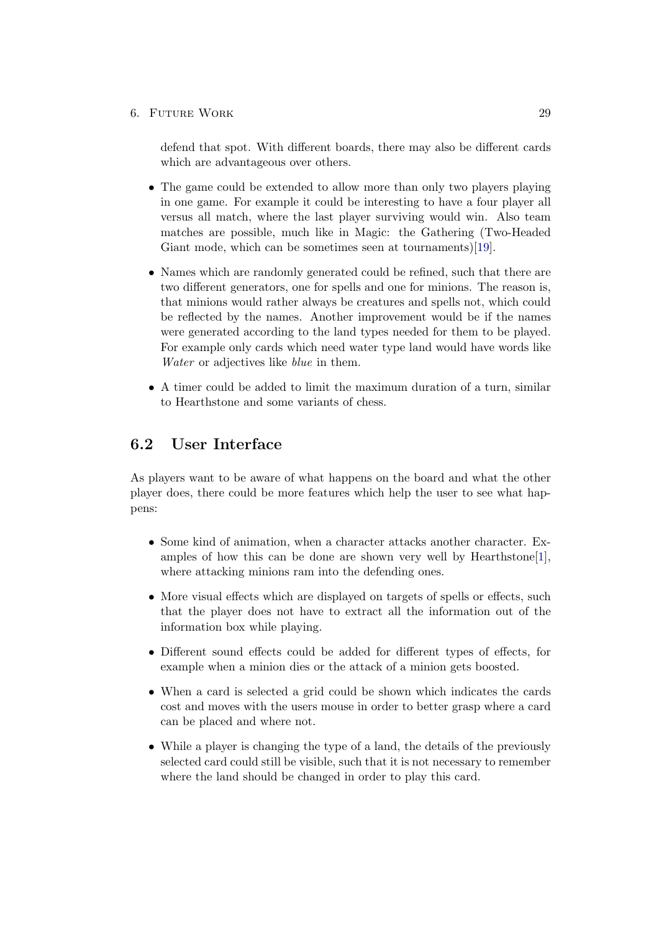#### 6. FUTURE WORK 29

defend that spot. With different boards, there may also be different cards which are advantageous over others.

- The game could be extended to allow more than only two players playing in one game. For example it could be interesting to have a four player all versus all match, where the last player surviving would win. Also team matches are possible, much like in Magic: the Gathering (Two-Headed Giant mode, which can be sometimes seen at tournaments)[\[19\]](#page-37-4).
- Names which are randomly generated could be refined, such that there are two different generators, one for spells and one for minions. The reason is, that minions would rather always be creatures and spells not, which could be reflected by the names. Another improvement would be if the names were generated according to the land types needed for them to be played. For example only cards which need water type land would have words like Water or adjectives like blue in them.
- A timer could be added to limit the maximum duration of a turn, similar to Hearthstone and some variants of chess.

## <span id="page-33-0"></span>6.2 User Interface

As players want to be aware of what happens on the board and what the other player does, there could be more features which help the user to see what happens:

- Some kind of animation, when a character attacks another character. Examples of how this can be done are shown very well by Hearthstone[\[1\]](#page-36-1), where attacking minions ram into the defending ones.
- More visual effects which are displayed on targets of spells or effects, such that the player does not have to extract all the information out of the information box while playing.
- Different sound effects could be added for different types of effects, for example when a minion dies or the attack of a minion gets boosted.
- When a card is selected a grid could be shown which indicates the cards cost and moves with the users mouse in order to better grasp where a card can be placed and where not.
- While a player is changing the type of a land, the details of the previously selected card could still be visible, such that it is not necessary to remember where the land should be changed in order to play this card.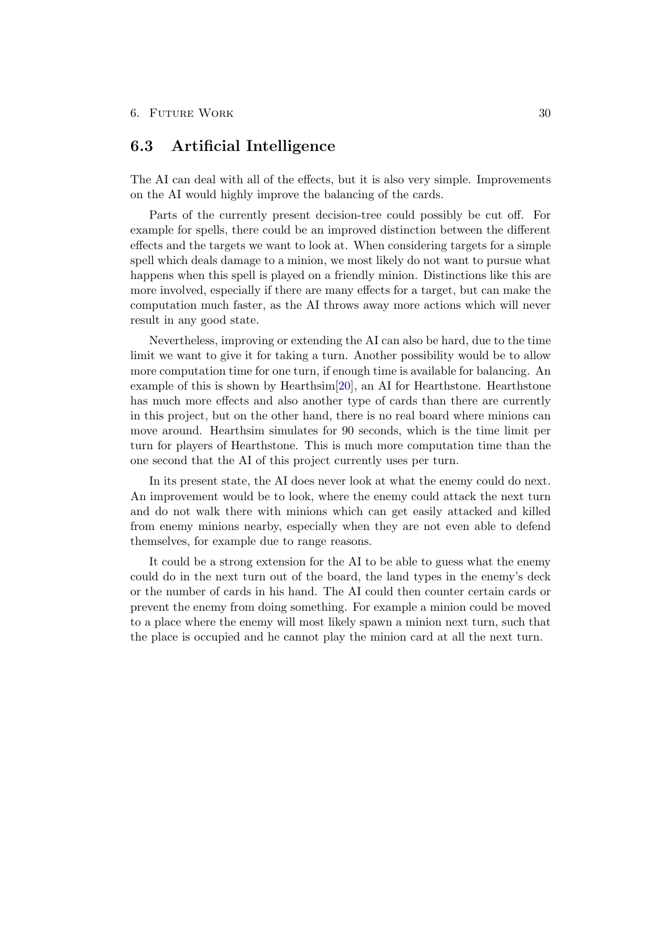## <span id="page-34-0"></span>6.3 Artificial Intelligence

The AI can deal with all of the effects, but it is also very simple. Improvements on the AI would highly improve the balancing of the cards.

Parts of the currently present decision-tree could possibly be cut off. For example for spells, there could be an improved distinction between the different effects and the targets we want to look at. When considering targets for a simple spell which deals damage to a minion, we most likely do not want to pursue what happens when this spell is played on a friendly minion. Distinctions like this are more involved, especially if there are many effects for a target, but can make the computation much faster, as the AI throws away more actions which will never result in any good state.

Nevertheless, improving or extending the AI can also be hard, due to the time limit we want to give it for taking a turn. Another possibility would be to allow more computation time for one turn, if enough time is available for balancing. An example of this is shown by Hearthsim[\[20\]](#page-37-5), an AI for Hearthstone. Hearthstone has much more effects and also another type of cards than there are currently in this project, but on the other hand, there is no real board where minions can move around. Hearthsim simulates for 90 seconds, which is the time limit per turn for players of Hearthstone. This is much more computation time than the one second that the AI of this project currently uses per turn.

In its present state, the AI does never look at what the enemy could do next. An improvement would be to look, where the enemy could attack the next turn and do not walk there with minions which can get easily attacked and killed from enemy minions nearby, especially when they are not even able to defend themselves, for example due to range reasons.

It could be a strong extension for the AI to be able to guess what the enemy could do in the next turn out of the board, the land types in the enemy's deck or the number of cards in his hand. The AI could then counter certain cards or prevent the enemy from doing something. For example a minion could be moved to a place where the enemy will most likely spawn a minion next turn, such that the place is occupied and he cannot play the minion card at all the next turn.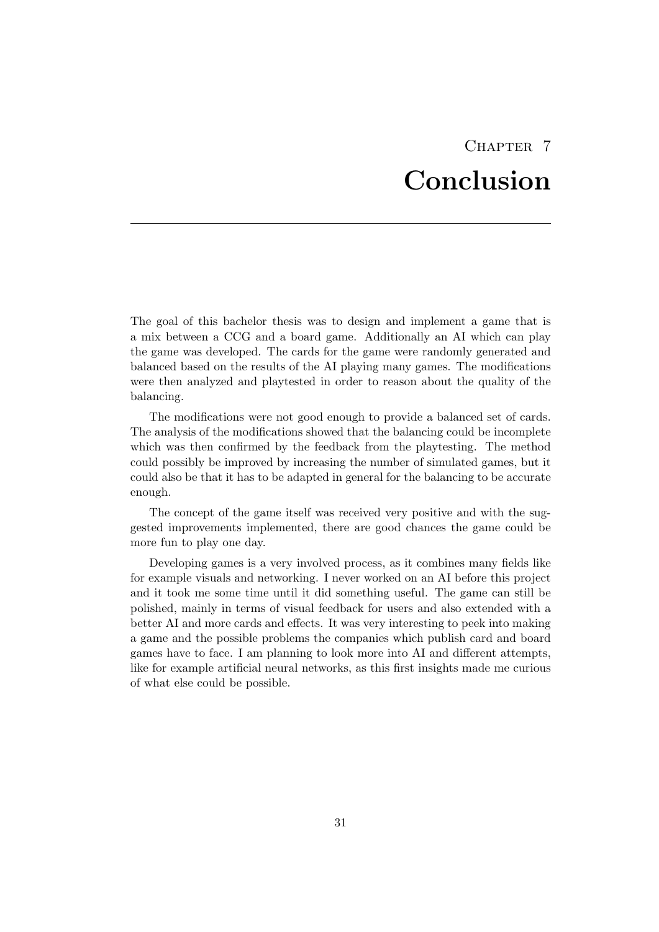## CHAPTER<sub>7</sub> Conclusion

<span id="page-35-0"></span>The goal of this bachelor thesis was to design and implement a game that is a mix between a CCG and a board game. Additionally an AI which can play the game was developed. The cards for the game were randomly generated and balanced based on the results of the AI playing many games. The modifications were then analyzed and playtested in order to reason about the quality of the balancing.

The modifications were not good enough to provide a balanced set of cards. The analysis of the modifications showed that the balancing could be incomplete which was then confirmed by the feedback from the playtesting. The method could possibly be improved by increasing the number of simulated games, but it could also be that it has to be adapted in general for the balancing to be accurate enough.

The concept of the game itself was received very positive and with the suggested improvements implemented, there are good chances the game could be more fun to play one day.

Developing games is a very involved process, as it combines many fields like for example visuals and networking. I never worked on an AI before this project and it took me some time until it did something useful. The game can still be polished, mainly in terms of visual feedback for users and also extended with a better AI and more cards and effects. It was very interesting to peek into making a game and the possible problems the companies which publish card and board games have to face. I am planning to look more into AI and different attempts, like for example artificial neural networks, as this first insights made me curious of what else could be possible.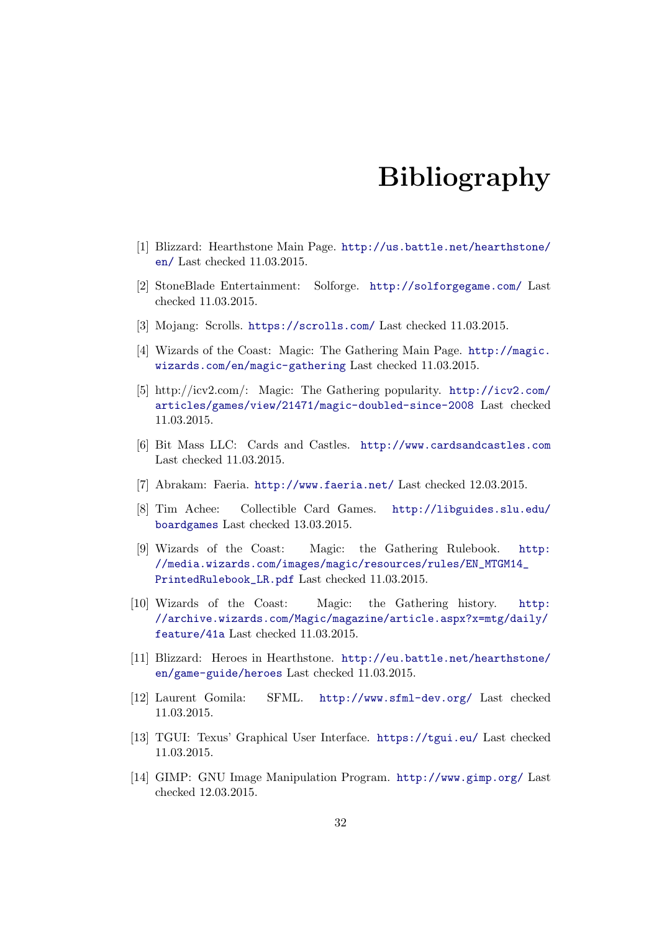## Bibliography

- <span id="page-36-1"></span><span id="page-36-0"></span>[1] Blizzard: Hearthstone Main Page. [http://us.battle.net/hearthstone/](http://us.battle.net/hearthstone/en/) [en/](http://us.battle.net/hearthstone/en/) Last checked 11.03.2015.
- <span id="page-36-2"></span>[2] StoneBlade Entertainment: Solforge. <http://solforgegame.com/> Last checked 11.03.2015.
- <span id="page-36-3"></span>[3] Mojang: Scrolls. <https://scrolls.com/> Last checked 11.03.2015.
- <span id="page-36-4"></span>[4] Wizards of the Coast: Magic: The Gathering Main Page. [http://magic.](http://magic.wizards.com/en/magic-gathering) [wizards.com/en/magic-gathering](http://magic.wizards.com/en/magic-gathering) Last checked 11.03.2015.
- <span id="page-36-5"></span>[5] http://icv2.com/: Magic: The Gathering popularity. [http://icv2.com/](http://icv2.com/articles/games/view/21471/magic-doubled-since-2008) [articles/games/view/21471/magic-doubled-since-2008](http://icv2.com/articles/games/view/21471/magic-doubled-since-2008) Last checked 11.03.2015.
- <span id="page-36-6"></span>[6] Bit Mass LLC: Cards and Castles. <http://www.cardsandcastles.com> Last checked 11.03.2015.
- <span id="page-36-7"></span>[7] Abrakam: Faeria. <http://www.faeria.net/> Last checked 12.03.2015.
- <span id="page-36-8"></span>[8] Tim Achee: Collectible Card Games. [http://libguides.slu.edu/](http://libguides.slu.edu/boardgames) [boardgames](http://libguides.slu.edu/boardgames) Last checked 13.03.2015.
- <span id="page-36-9"></span>[9] Wizards of the Coast: Magic: the Gathering Rulebook. [http:](http://media.wizards.com/images/magic/resources/rules/EN_MTGM14_PrintedRulebook_LR.pdf) [//media.wizards.com/images/magic/resources/rules/EN\\_MTGM14\\_](http://media.wizards.com/images/magic/resources/rules/EN_MTGM14_PrintedRulebook_LR.pdf) [PrintedRulebook\\_LR.pdf](http://media.wizards.com/images/magic/resources/rules/EN_MTGM14_PrintedRulebook_LR.pdf) Last checked 11.03.2015.
- <span id="page-36-10"></span>[10] Wizards of the Coast: Magic: the Gathering history. [http:](http://archive.wizards.com/Magic/magazine/article.aspx?x=mtg/daily/feature/41a) [//archive.wizards.com/Magic/magazine/article.aspx?x=mtg/daily/](http://archive.wizards.com/Magic/magazine/article.aspx?x=mtg/daily/feature/41a) [feature/41a](http://archive.wizards.com/Magic/magazine/article.aspx?x=mtg/daily/feature/41a) Last checked 11.03.2015.
- <span id="page-36-11"></span>[11] Blizzard: Heroes in Hearthstone. [http://eu.battle.net/hearthstone/](http://eu.battle.net/hearthstone/en/game-guide/heroes) [en/game-guide/heroes](http://eu.battle.net/hearthstone/en/game-guide/heroes) Last checked 11.03.2015.
- <span id="page-36-12"></span>[12] Laurent Gomila: SFML. <http://www.sfml-dev.org/> Last checked 11.03.2015.
- <span id="page-36-13"></span>[13] TGUI: Texus' Graphical User Interface. <https://tgui.eu/> Last checked 11.03.2015.
- <span id="page-36-14"></span>[14] GIMP: GNU Image Manipulation Program. <http://www.gimp.org/> Last checked 12.03.2015.